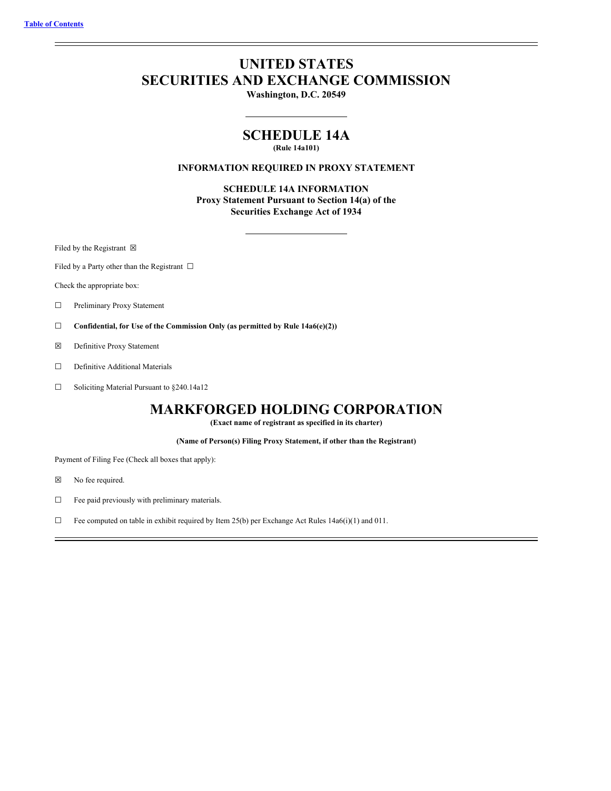# **UNITED STATES SECURITIES AND EXCHANGE COMMISSION**

**Washington, D.C. 20549**

# **SCHEDULE 14A**

**(Rule 14a101)**

# **INFORMATION REQUIRED IN PROXY STATEMENT**

**SCHEDULE 14A INFORMATION Proxy Statement Pursuant to Section 14(a) of the Securities Exchange Act of 1934**

Filed by the Registrant  $\boxtimes$ 

Filed by a Party other than the Registrant  $\Box$ 

Check the appropriate box:

- ☐ Preliminary Proxy Statement
- ☐ **Confidential, for Use of the Commission Only (as permitted by Rule 14a6(e)(2))**
- ☒ Definitive Proxy Statement
- □ Definitive Additional Materials
- ☐ Soliciting Material Pursuant to §240.14a12

# **MARKFORGED HOLDING CORPORATION**

**(Exact name of registrant as specified in its charter)**

**(Name of Person(s) Filing Proxy Statement, if other than the Registrant)**

Payment of Filing Fee (Check all boxes that apply):

- ☒ No fee required.
- ☐ Fee paid previously with preliminary materials.
- ☐ Fee computed on table in exhibit required by Item 25(b) per Exchange Act Rules 14a6(i)(1) and 011.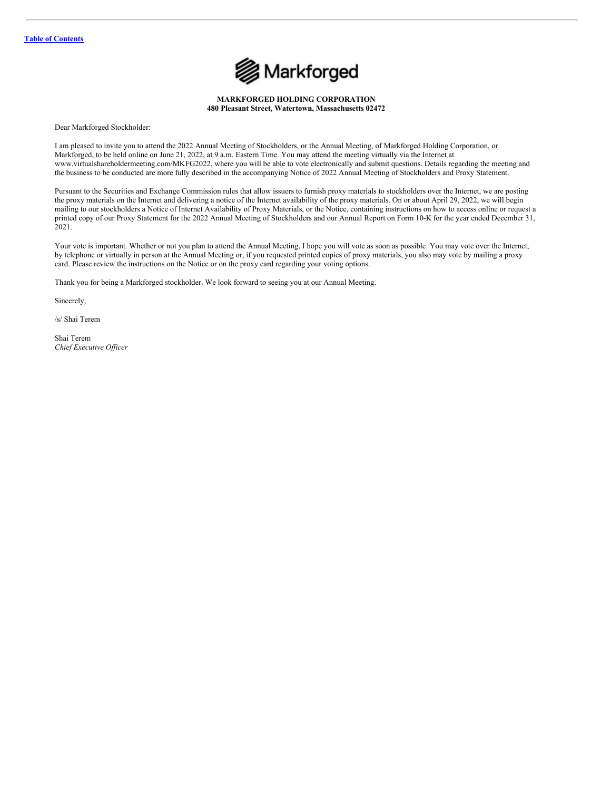

**MARKFORGED HOLDING CORPORATION 480 Pleasant Street, Watertown, Massachusetts 02472**

Dear Markforged Stockholder:

I am pleased to invite you to attend the 2022 Annual Meeting of Stockholders, or the Annual Meeting, of Markforged Holding Corporation, or Markforged, to be held online on June 21, 2022, at 9 a.m. Eastern Time. You may attend the meeting virtually via the Internet at www.virtualshareholdermeeting.com/MKFG2022, where you will be able to vote electronically and submit questions. Details regarding the meeting and the business to be conducted are more fully described in the accompanying Notice of 2022 Annual Meeting of Stockholders and Proxy Statement.

Pursuant to the Securities and Exchange Commission rules that allow issuers to furnish proxy materials to stockholders over the Internet, we are posting the proxy materials on the Internet and delivering a notice of the Internet availability of the proxy materials. On or about April 29, 2022, we will begin mailing to our stockholders a Notice of Internet Availability of Proxy Materials, or the Notice, containing instructions on how to access online or request a printed copy of our Proxy Statement for the 2022 Annual Meeting of Stockholders and our Annual Report on Form 10-K for the year ended December 31, 2021.

Your vote is important. Whether or not you plan to attend the Annual Meeting, I hope you will vote as soon as possible. You may vote over the Internet, by telephone or virtually in person at the Annual Meeting or, if you requested printed copies of proxy materials, you also may vote by mailing a proxy card. Please review the instructions on the Notice or on the proxy card regarding your voting options.

Thank you for being a Markforged stockholder. We look forward to seeing you at our Annual Meeting.

Sincerely,

/s/ Shai Terem

Shai Terem *Chief Executive Of icer*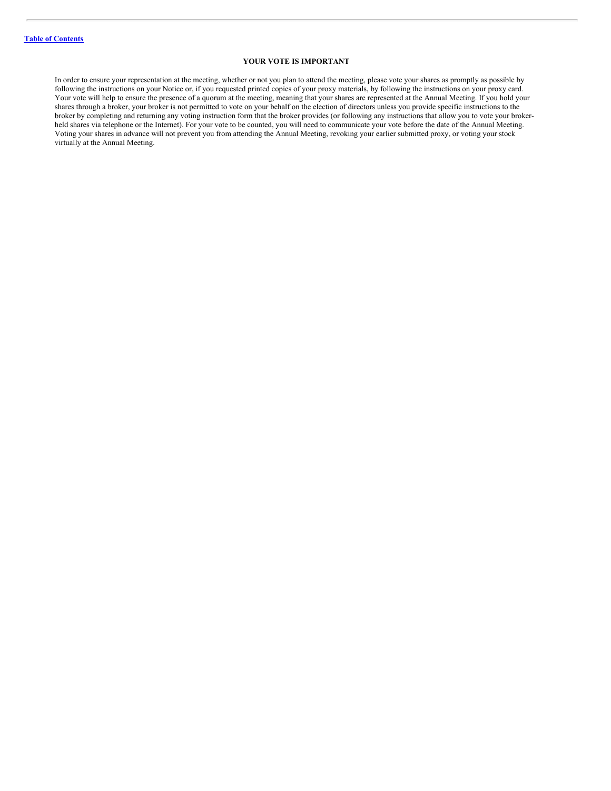# **YOUR VOTE IS IMPORTANT**

In order to ensure your representation at the meeting, whether or not you plan to attend the meeting, please vote your shares as promptly as possible by following the instructions on your Notice or, if you requested printed copies of your proxy materials, by following the instructions on your proxy card. Your vote will help to ensure the presence of a quorum at the meeting, meaning that your shares are represented at the Annual Meeting. If you hold your shares through a broker, your broker is not permitted to vote on your behalf on the election of directors unless you provide specific instructions to the broker by completing and returning any voting instruction form that the broker provides (or following any instructions that allow you to vote your brokerheld shares via telephone or the Internet). For your vote to be counted, you will need to communicate your vote before the date of the Annual Meeting. Voting your shares in advance will not prevent you from attending the Annual Meeting, revoking your earlier submitted proxy, or voting your stock virtually at the Annual Meeting.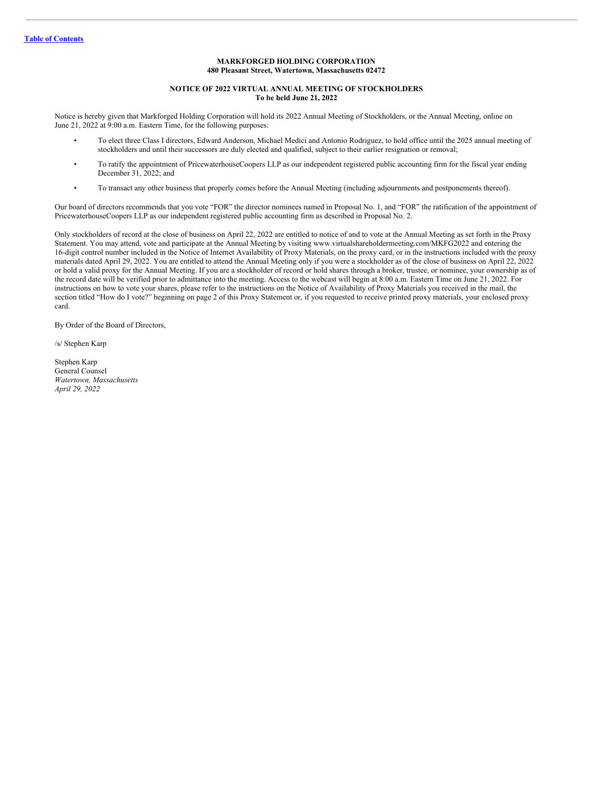# **MARKFORGED HOLDING CORPORATION 480 Pleasant Street, Watertown, Massachusetts 02472**

#### **NOTICE OF 2022 VIRTUAL ANNUAL MEETING OF STOCKHOLDERS To be held June 21, 2022**

Notice is hereby given that Markforged Holding Corporation will hold its 2022 Annual Meeting of Stockholders, or the Annual Meeting, online on June 21, 2022 at 9:00 a.m. Eastern Time, for the following purposes:

- To elect three Class I directors, Edward Anderson, Michael Medici and Antonio Rodriguez, to hold office until the 2025 annual meeting of stockholders and until their successors are duly elected and qualified, subject to their earlier resignation or removal;
- To ratify the appointment of PricewaterhouseCoopers LLP as our independent registered public accounting firm for the fiscal year ending December 31, 2022; and
- To transact any other business that properly comes before the Annual Meeting (including adjournments and postponements thereof).

Our board of directors recommends that you vote "FOR" the director nominees named in Proposal No. 1, and "FOR" the ratification of the appointment of PricewaterhouseCoopers LLP as our independent registered public accounting firm as described in Proposal No. 2.

Only stockholders of record at the close of business on April 22, 2022 are entitled to notice of and to vote at the Annual Meeting as set forth in the Proxy Statement. You may attend, vote and participate at the Annual Meeting by visiting www.virtualshareholdermeeting.com/MKFG2022 and entering the 16-digit control number included in the Notice of Internet Availability of Proxy Materials, on the proxy card, or in the instructions included with the proxy materials dated April 29, 2022. You are entitled to attend the Annual Meeting only if you were a stockholder as of the close of business on April 22, 2022 or hold a valid proxy for the Annual Meeting. If you are a stockholder of record or hold shares through a broker, trustee, or nominee, your ownership as of the record date will be verified prior to admittance into the meeting. Access to the webcast will begin at 8:00 a.m. Eastern Time on June 21, 2022. For instructions on how to vote your shares, please refer to the instructions on the Notice of Availability of Proxy Materials you received in the mail, the section titled "How do I vote?" beginning on page 2 of this Proxy Statement or, if you requested to receive printed proxy materials, your enclosed proxy card.

By Order of the Board of Directors,

/s/ Stephen Karp

Stephen Karp General Counsel *Watertown, Massachusetts April 29, 2022*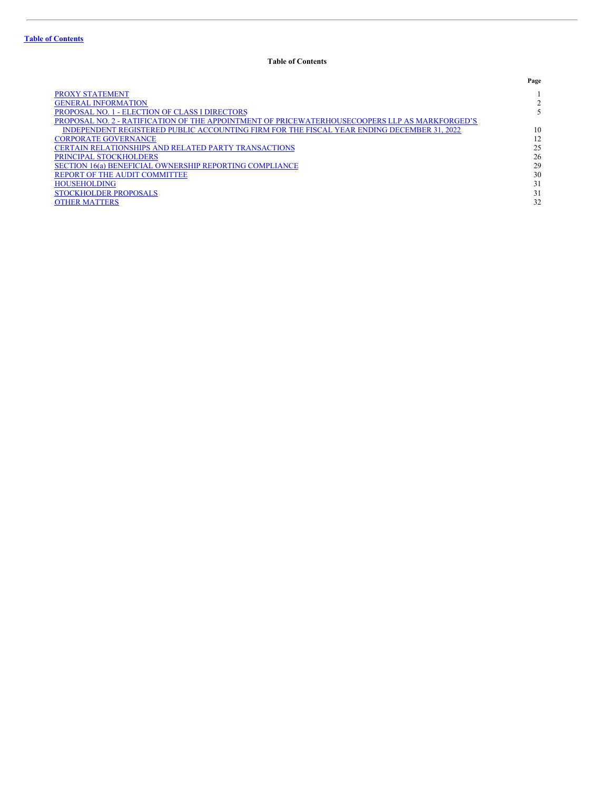# <span id="page-4-0"></span>**Table of Contents**

|                                                                                                | Page |
|------------------------------------------------------------------------------------------------|------|
| <b>PROXY STATEMENT</b>                                                                         |      |
| <b>GENERAL INFORMATION</b>                                                                     |      |
| PROPOSAL NO. 1 - ELECTION OF CLASS I DIRECTORS                                                 |      |
| PROPOSAL NO. 2 - RATIFICATION OF THE APPOINTMENT OF PRICEWATERHOUSECOOPERS LLP AS MARKFORGED'S |      |
| INDEPENDENT REGISTERED PUBLIC ACCOUNTING FIRM FOR THE FISCAL YEAR ENDING DECEMBER 31, 2022     | 10   |
| <b>CORPORATE GOVERNANCE</b>                                                                    | 12   |
| <b>CERTAIN RELATIONSHIPS AND RELATED PARTY TRANSACTIONS</b>                                    | 25   |
| <b>PRINCIPAL STOCKHOLDERS</b>                                                                  | 26   |
| <b>SECTION 16(a) BENEFICIAL OWNERSHIP REPORTING COMPLIANCE</b>                                 | 29   |
| REPORT OF THE AUDIT COMMITTEE                                                                  | 30   |
| <b>HOUSEHOLDING</b>                                                                            | 31   |
| <b>STOCKHOLDER PROPOSALS</b>                                                                   | 31   |
| <b>OTHER MATTERS</b>                                                                           | 32   |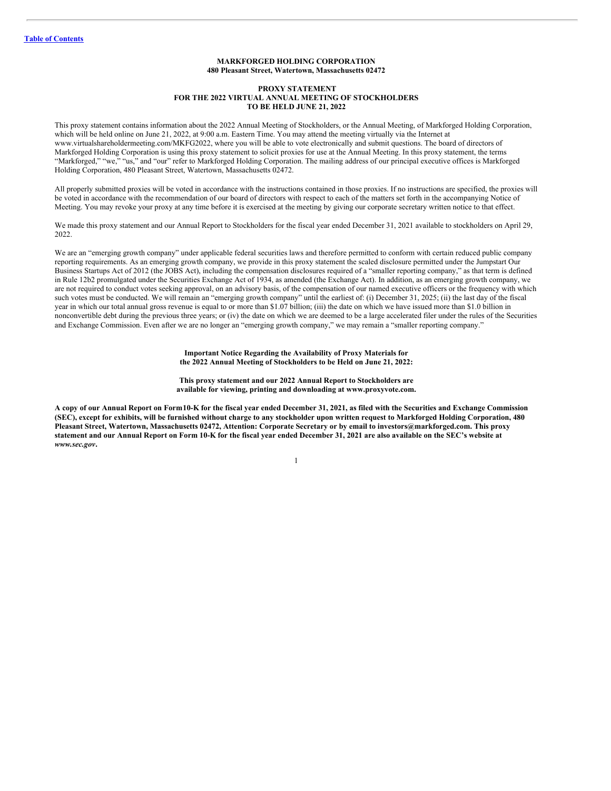# <span id="page-5-0"></span>**MARKFORGED HOLDING CORPORATION 480 Pleasant Street, Watertown, Massachusetts 02472**

#### **PROXY STATEMENT FOR THE 2022 VIRTUAL ANNUAL MEETING OF STOCKHOLDERS TO BE HELD JUNE 21, 2022**

This proxy statement contains information about the 2022 Annual Meeting of Stockholders, or the Annual Meeting, of Markforged Holding Corporation, which will be held online on June 21, 2022, at 9:00 a.m. Eastern Time. You may attend the meeting virtually via the Internet at www.virtualshareholdermeeting.com/MKFG2022, where you will be able to vote electronically and submit questions. The board of directors of Markforged Holding Corporation is using this proxy statement to solicit proxies for use at the Annual Meeting. In this proxy statement, the terms "Markforged," "we," "us," and "our" refer to Markforged Holding Corporation. The mailing address of our principal executive offices is Markforged Holding Corporation, 480 Pleasant Street, Watertown, Massachusetts 02472.

All properly submitted proxies will be voted in accordance with the instructions contained in those proxies. If no instructions are specified, the proxies will be voted in accordance with the recommendation of our board of directors with respect to each of the matters set forth in the accompanying Notice of Meeting. You may revoke your proxy at any time before it is exercised at the meeting by giving our corporate secretary written notice to that effect.

We made this proxy statement and our Annual Report to Stockholders for the fiscal year ended December 31, 2021 available to stockholders on April 29, 2022.

We are an "emerging growth company" under applicable federal securities laws and therefore permitted to conform with certain reduced public company reporting requirements. As an emerging growth company, we provide in this proxy statement the scaled disclosure permitted under the Jumpstart Our Business Startups Act of 2012 (the JOBS Act), including the compensation disclosures required of a "smaller reporting company," as that term is defined in Rule 12b2 promulgated under the Securities Exchange Act of 1934, as amended (the Exchange Act). In addition, as an emerging growth company, we are not required to conduct votes seeking approval, on an advisory basis, of the compensation of our named executive officers or the frequency with which such votes must be conducted. We will remain an "emerging growth company" until the earliest of: (i) December 31, 2025; (ii) the last day of the fiscal year in which our total annual gross revenue is equal to or more than \$1.07 billion; (iii) the date on which we have issued more than \$1.0 billion in nonconvertible debt during the previous three years; or (iv) the date on which we are deemed to be a large accelerated filer under the rules of the Securities and Exchange Commission. Even after we are no longer an "emerging growth company," we may remain a "smaller reporting company."

> **Important Notice Regarding the Availability of Proxy Materials for the 2022 Annual Meeting of Stockholders to be Held on June 21, 2022:**

> **This proxy statement and our 2022 Annual Report to Stockholders are available for viewing, printing and downloading at www.proxyvote.com.**

A copy of our Annual Report on Form 10-K for the fiscal year ended December 31, 2021, as filed with the Securities and Exchange Commission (SEC), except for exhibits, will be furnished without charge to any stockholder upon written request to Markforged Holding Corporation, 480 Pleasant Street, Watertown, Massachusetts 02472, Attention: Corporate Secretary or by email to investors@markforged.com. This proxy statement and our Annual Report on Form 10-K for the fiscal year ended December 31, 2021 are also available on the SEC's website at *www.sec.gov***.**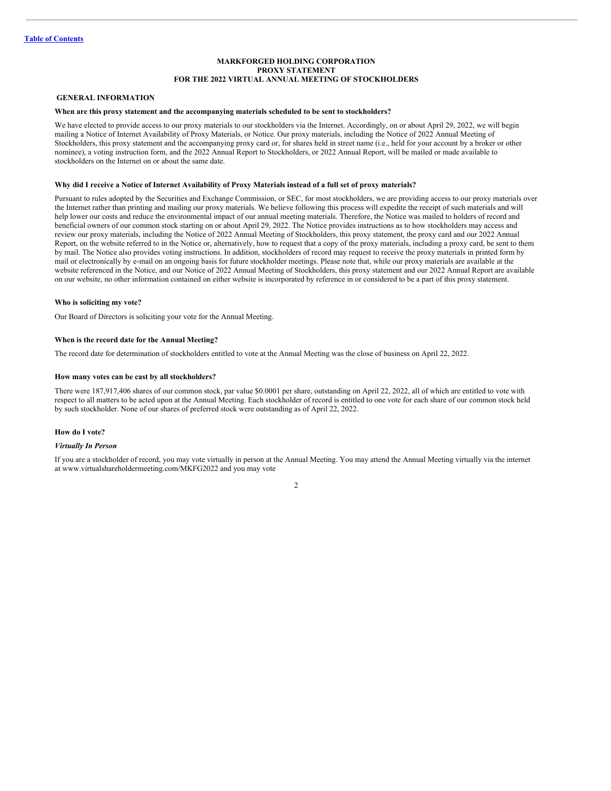# **MARKFORGED HOLDING CORPORATION PROXY STATEMENT FOR THE 2022 VIRTUAL ANNUAL MEETING OF STOCKHOLDERS**

# <span id="page-6-0"></span>**GENERAL INFORMATION**

### **When are this proxy statement and the accompanying materials scheduled to be sent to stockholders?**

We have elected to provide access to our proxy materials to our stockholders via the Internet. Accordingly, on or about April 29, 2022, we will begin mailing a Notice of Internet Availability of Proxy Materials, or Notice. Our proxy materials, including the Notice of 2022 Annual Meeting of Stockholders, this proxy statement and the accompanying proxy card or, for shares held in street name (i.e., held for your account by a broker or other nominee), a voting instruction form, and the 2022 Annual Report to Stockholders, or 2022 Annual Report, will be mailed or made available to stockholders on the Internet on or about the same date.

#### Why did I receive a Notice of Internet Availability of Proxy Materials instead of a full set of proxy materials?

Pursuant to rules adopted by the Securities and Exchange Commission, or SEC, for most stockholders, we are providing access to our proxy materials over the Internet rather than printing and mailing our proxy materials. We believe following this process will expedite the receipt of such materials and will help lower our costs and reduce the environmental impact of our annual meeting materials. Therefore, the Notice was mailed to holders of record and beneficial owners of our common stock starting on or about April 29, 2022. The Notice provides instructions as to how stockholders may access and review our proxy materials, including the Notice of 2022 Annual Meeting of Stockholders, this proxy statement, the proxy card and our 2022 Annual Report, on the website referred to in the Notice or, alternatively, how to request that a copy of the proxy materials, including a proxy card, be sent to them by mail. The Notice also provides voting instructions. In addition, stockholders of record may request to receive the proxy materials in printed form by mail or electronically by e-mail on an ongoing basis for future stockholder meetings. Please note that, while our proxy materials are available at the website referenced in the Notice, and our Notice of 2022 Annual Meeting of Stockholders, this proxy statement and our 2022 Annual Report are available on our website, no other information contained on either website is incorporated by reference in or considered to be a part of this proxy statement.

#### **Who is soliciting my vote?**

Our Board of Directors is soliciting your vote for the Annual Meeting.

### **When is the record date for the Annual Meeting?**

The record date for determination of stockholders entitled to vote at the Annual Meeting was the close of business on April 22, 2022.

#### **How many votes can be cast by all stockholders?**

There were 187,917,406 shares of our common stock, par value \$0.0001 per share, outstanding on April 22, 2022, all of which are entitled to vote with respect to all matters to be acted upon at the Annual Meeting. Each stockholder of record is entitled to one vote for each share of our common stock held by such stockholder. None of our shares of preferred stock were outstanding as of April 22, 2022.

#### **How do I vote?**

#### *Virtually In Person*

If you are a stockholder of record, you may vote virtually in person at the Annual Meeting. You may attend the Annual Meeting virtually via the internet at www.virtualshareholdermeeting.com/MKFG2022 and you may vote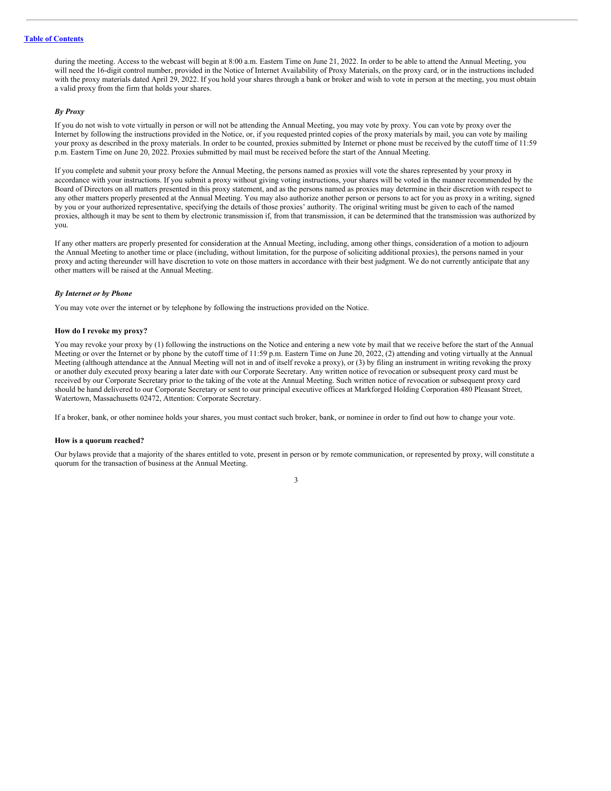# **Table of [Contents](#page-4-0)**

during the meeting. Access to the webcast will begin at 8:00 a.m. Eastern Time on June 21, 2022. In order to be able to attend the Annual Meeting, you will need the 16-digit control number, provided in the Notice of Internet Availability of Proxy Materials, on the proxy card, or in the instructions included with the proxy materials dated April 29, 2022. If you hold your shares through a bank or broker and wish to vote in person at the meeting, you must obtain a valid proxy from the firm that holds your shares.

# *By Proxy*

If you do not wish to vote virtually in person or will not be attending the Annual Meeting, you may vote by proxy. You can vote by proxy over the Internet by following the instructions provided in the Notice, or, if you requested printed copies of the proxy materials by mail, you can vote by mailing your proxy as described in the proxy materials. In order to be counted, proxies submitted by Internet or phone must be received by the cutoff time of 11:59 p.m. Eastern Time on June 20, 2022. Proxies submitted by mail must be received before the start of the Annual Meeting.

If you complete and submit your proxy before the Annual Meeting, the persons named as proxies will vote the shares represented by your proxy in accordance with your instructions. If you submit a proxy without giving voting instructions, your shares will be voted in the manner recommended by the Board of Directors on all matters presented in this proxy statement, and as the persons named as proxies may determine in their discretion with respect to any other matters properly presented at the Annual Meeting. You may also authorize another person or persons to act for you as proxy in a writing, signed by you or your authorized representative, specifying the details of those proxies' authority. The original writing must be given to each of the named proxies, although it may be sent to them by electronic transmission if, from that transmission, it can be determined that the transmission was authorized by you.

If any other matters are properly presented for consideration at the Annual Meeting, including, among other things, consideration of a motion to adjourn the Annual Meeting to another time or place (including, without limitation, for the purpose of soliciting additional proxies), the persons named in your proxy and acting thereunder will have discretion to vote on those matters in accordance with their best judgment. We do not currently anticipate that any other matters will be raised at the Annual Meeting.

#### *By Internet or by Phone*

You may vote over the internet or by telephone by following the instructions provided on the Notice.

#### **How do I revoke my proxy?**

You may revoke your proxy by (1) following the instructions on the Notice and entering a new vote by mail that we receive before the start of the Annual Meeting or over the Internet or by phone by the cutoff time of 11:59 p.m. Eastern Time on June 20, 2022, (2) attending and voting virtually at the Annual Meeting (although attendance at the Annual Meeting will not in and of itself revoke a proxy), or (3) by filing an instrument in writing revoking the proxy or another duly executed proxy bearing a later date with our Corporate Secretary. Any written notice of revocation or subsequent proxy card must be received by our Corporate Secretary prior to the taking of the vote at the Annual Meeting. Such written notice of revocation or subsequent proxy card should be hand delivered to our Corporate Secretary or sent to our principal executive offices at Markforged Holding Corporation 480 Pleasant Street, Watertown, Massachusetts 02472, Attention: Corporate Secretary.

If a broker, bank, or other nominee holds your shares, you must contact such broker, bank, or nominee in order to find out how to change your vote.

#### **How is a quorum reached?**

Our bylaws provide that a majority of the shares entitled to vote, present in person or by remote communication, or represented by proxy, will constitute a quorum for the transaction of business at the Annual Meeting.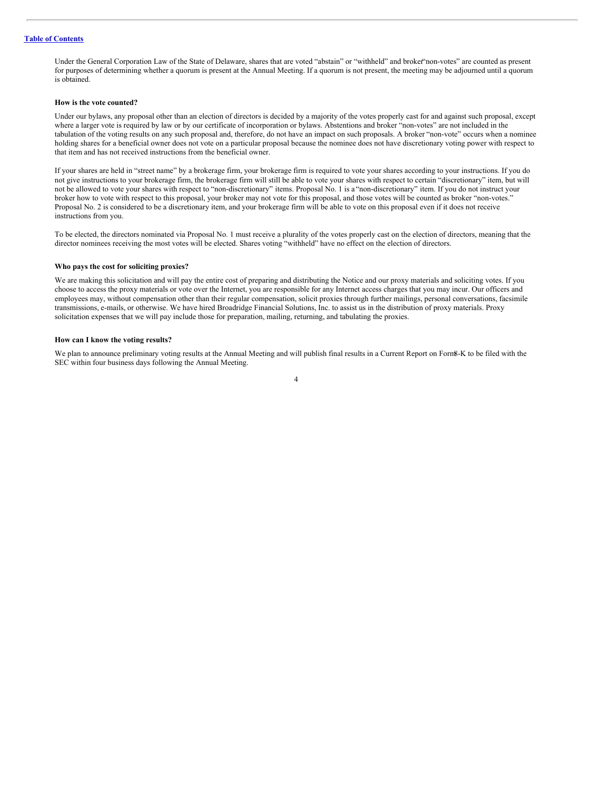Under the General Corporation Law of the State of Delaware, shares that are voted "abstain" or "withheld" and broker"non-votes" are counted as present for purposes of determining whether a quorum is present at the Annual Meeting. If a quorum is not present, the meeting may be adjourned until a quorum is obtained.

#### **How is the vote counted?**

Under our bylaws, any proposal other than an election of directors is decided by a majority of the votes properly cast for and against such proposal, except where a larger vote is required by law or by our certificate of incorporation or bylaws. Abstentions and broker "non-votes" are not included in the tabulation of the voting results on any such proposal and, therefore, do not have an impact on such proposals. A broker "non-vote" occurs when a nominee holding shares for a beneficial owner does not vote on a particular proposal because the nominee does not have discretionary voting power with respect to that item and has not received instructions from the beneficial owner.

If your shares are held in "street name" by a brokerage firm, your brokerage firm is required to vote your shares according to your instructions. If you do not give instructions to your brokerage firm, the brokerage firm will still be able to vote your shares with respect to certain "discretionary" item, but will not be allowed to vote your shares with respect to "non-discretionary" items. Proposal No. 1 is a "non-discretionary" item. If you do not instruct your broker how to vote with respect to this proposal, your broker may not vote for this proposal, and those votes will be counted as broker "non-votes." Proposal No. 2 is considered to be a discretionary item, and your brokerage firm will be able to vote on this proposal even if it does not receive instructions from you.

To be elected, the directors nominated via Proposal No. 1 must receive a plurality of the votes properly cast on the election of directors, meaning that the director nominees receiving the most votes will be elected. Shares voting "withheld" have no effect on the election of directors.

#### **Who pays the cost for soliciting proxies?**

We are making this solicitation and will pay the entire cost of preparing and distributing the Notice and our proxy materials and soliciting votes. If you choose to access the proxy materials or vote over the Internet, you are responsible for any Internet access charges that you may incur. Our officers and employees may, without compensation other than their regular compensation, solicit proxies through further mailings, personal conversations, facsimile transmissions, e-mails, or otherwise. We have hired Broadridge Financial Solutions, Inc. to assist us in the distribution of proxy materials. Proxy solicitation expenses that we will pay include those for preparation, mailing, returning, and tabulating the proxies.

# **How can I know the voting results?**

We plan to announce preliminary voting results at the Annual Meeting and will publish final results in a Current Report on Form8-K to be filed with the SEC within four business days following the Annual Meeting.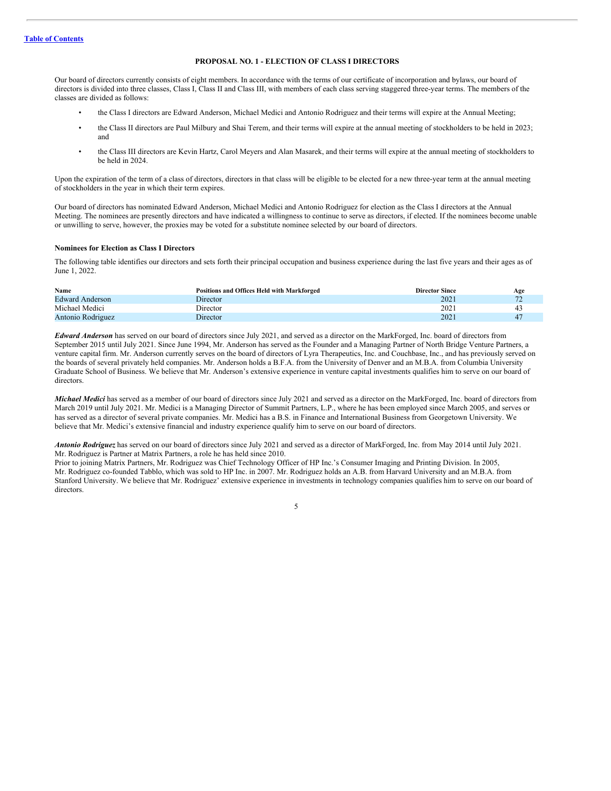# <span id="page-9-0"></span>**PROPOSAL NO. 1 - ELECTION OF CLASS I DIRECTORS**

Our board of directors currently consists of eight members. In accordance with the terms of our certificate of incorporation and bylaws, our board of directors is divided into three classes, Class I, Class II and Class III, with members of each class serving staggered three-year terms. The members of the classes are divided as follows:

- the Class I directors are Edward Anderson, Michael Medici and Antonio Rodriguez and their terms will expire at the Annual Meeting;
- the Class II directors are Paul Milbury and Shai Terem, and their terms will expire at the annual meeting of stockholders to be held in 2023; and
- the Class III directors are Kevin Hartz, Carol Meyers and Alan Masarek, and their terms will expire at the annual meeting of stockholders to be held in 2024.

Upon the expiration of the term of a class of directors, directors in that class will be eligible to be elected for a new three-year term at the annual meeting of stockholders in the year in which their term expires.

Our board of directors has nominated Edward Anderson, Michael Medici and Antonio Rodriguez for election as the Class I directors at the Annual Meeting. The nominees are presently directors and have indicated a willingness to continue to serve as directors, if elected. If the nominees become unable or unwilling to serve, however, the proxies may be voted for a substitute nominee selected by our board of directors.

# **Nominees for Election as Class I Directors**

The following table identifies our directors and sets forth their principal occupation and business experience during the last five years and their ages as of June 1, 2022.

| Name                   | Positions and Offices Held with Markforged | <b>Director Since</b> | Age          |
|------------------------|--------------------------------------------|-----------------------|--------------|
| <b>Edward Anderson</b> | Director                                   | 2021                  | $\mathbf{a}$ |
| Michael Medici         | Director                                   | 202                   |              |
| Antonio Rodriguez      | Director                                   | $202^{\circ}$         |              |

*Edward Anderson* has served on our board of directors since July 2021, and served as a director on the MarkForged, Inc. board of directors from September 2015 until July 2021. Since June 1994, Mr. Anderson has served as the Founder and a Managing Partner of North Bridge Venture Partners, a venture capital firm. Mr. Anderson currently serves on the board of directors of Lyra Therapeutics, Inc. and Couchbase, Inc., and has previously served on the boards of several privately held companies. Mr. Anderson holds a B.F.A. from the University of Denver and an M.B.A. from Columbia University Graduate School of Business. We believe that Mr. Anderson's extensive experience in venture capital investments qualifies him to serve on our board of directors.

*Michael Medici* has served as a member of our board of directors since July 2021 and served as a director on the MarkForged, Inc. board of directors from March 2019 until July 2021. Mr. Medici is a Managing Director of Summit Partners, L.P., where he has been employed since March 2005, and serves or has served as a director of several private companies. Mr. Medici has a B.S. in Finance and International Business from Georgetown University. We believe that Mr. Medici's extensive financial and industry experience qualify him to serve on our board of directors.

*Antonio Rodriguez* has served on our board of directors since July 2021 and served as a director of MarkForged, Inc. from May 2014 until July 2021. Mr. Rodriguez is Partner at Matrix Partners, a role he has held since 2010.

Prior to joining Matrix Partners, Mr. Rodriguez was Chief Technology Officer of HP Inc.'s Consumer Imaging and Printing Division. In 2005, Mr. Rodriguez co-founded Tabblo, which was sold to HP Inc. in 2007. Mr. Rodriguez holds an A.B. from Harvard University and an M.B.A. from Stanford University. We believe that Mr. Rodriguez' extensive experience in investments in technology companies qualifies him to serve on our board of directors.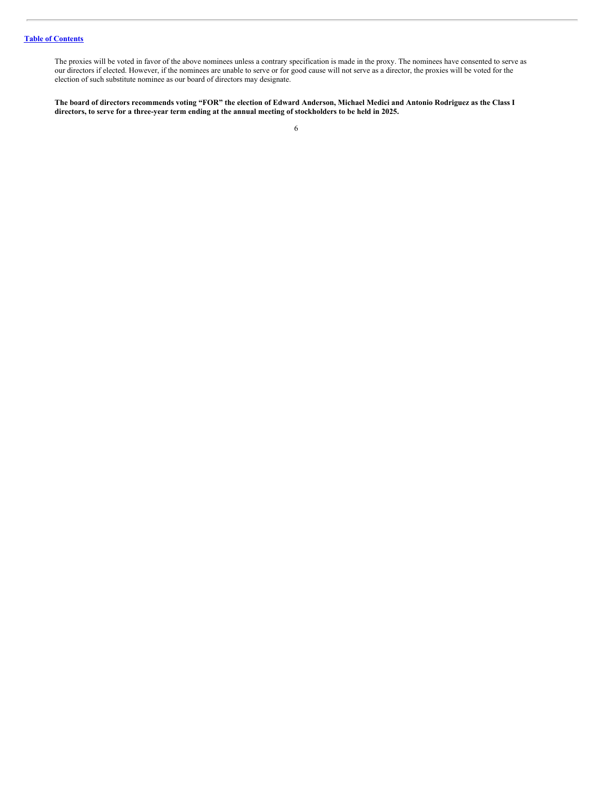# **Table of [Contents](#page-4-0)**

The proxies will be voted in favor of the above nominees unless a contrary specification is made in the proxy. The nominees have consented to serve as our directors if elected. However, if the nominees are unable to serve or for good cause will not serve as a director, the proxies will be voted for the election of such substitute nominee as our board of directors may designate.

The board of directors recommends voting "FOR" the election of Edward Anderson, Michael Medici and Antonio Rodriguez as the Class I directors, to serve for a three-year term ending at the annual meeting of stockholders to be held in 2025.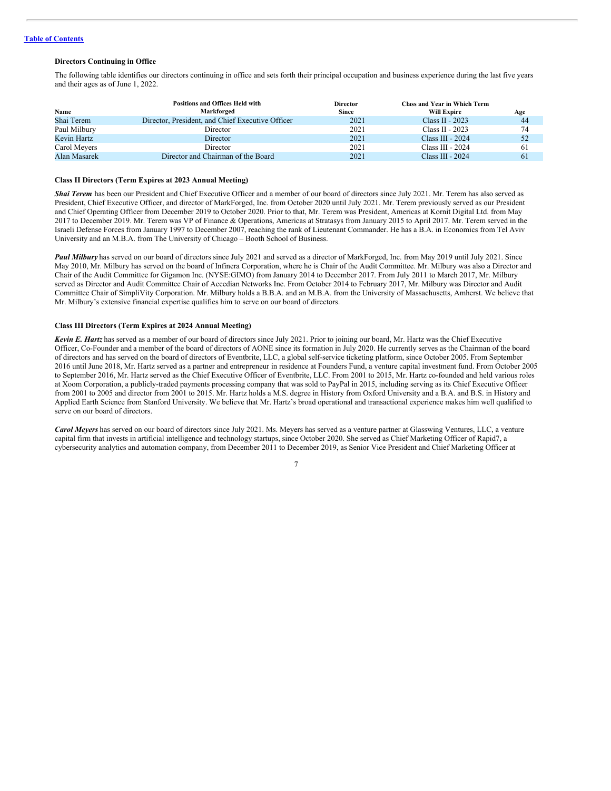# **Directors Continuing in Office**

The following table identifies our directors continuing in office and sets forth their principal occupation and business experience during the last five years and their ages as of June 1, 2022.

|              | <b>Positions and Offices Held with</b>           | <b>Director</b> | Class and Year in Which Term |     |
|--------------|--------------------------------------------------|-----------------|------------------------------|-----|
| Name         | Markforged                                       | <b>Since</b>    | <b>Will Expire</b>           | Age |
| Shai Terem   | Director, President, and Chief Executive Officer | 2021            | Class II - $2023$            | 44  |
| Paul Milbury | Director                                         | 2021            | Class II - 2023              | 74  |
| Kevin Hartz  | <b>Director</b>                                  | 2021            | Class III - 2024             | 52  |
| Carol Meyers | Director                                         | 2021            | Class III - 2024             | 61  |
| Alan Masarek | Director and Chairman of the Board               | 2021            | Class III - 2024             | 61  |

# **Class II Directors (Term Expires at 2023 Annual Meeting)**

*Shai Terem* has been our President and Chief Executive Officer and a member of our board of directors since July 2021. Mr. Terem has also served as President, Chief Executive Officer, and director of MarkForged, Inc. from October 2020 until July 2021. Mr. Terem previously served as our President and Chief Operating Officer from December 2019 to October 2020. Prior to that, Mr. Terem was President, Americas at Kornit Digital Ltd. from May 2017 to December 2019. Mr. Terem was VP of Finance & Operations, Americas at Stratasys from January 2015 to April 2017. Mr. Terem served in the Israeli Defense Forces from January 1997 to December 2007, reaching the rank of Lieutenant Commander. He has a B.A. in Economics from Tel Aviv University and an M.B.A. from The University of Chicago – Booth School of Business.

*Paul Milbury* has served on our board of directors since July 2021 and served as a director of MarkForged, Inc. from May 2019 until July 2021. Since May 2010, Mr. Milbury has served on the board of Infinera Corporation, where he is Chair of the Audit Committee. Mr. Milbury was also a Director and Chair of the Audit Committee for Gigamon Inc. (NYSE:GIMO) from January 2014 to December 2017. From July 2011 to March 2017, Mr. Milbury served as Director and Audit Committee Chair of Accedian Networks Inc. From October 2014 to February 2017, Mr. Milbury was Director and Audit Committee Chair of SimpliVity Corporation. Mr. Milbury holds a B.B.A. and an M.B.A. from the University of Massachusetts, Amherst. We believe that Mr. Milbury's extensive financial expertise qualifies him to serve on our board of directors.

# **Class III Directors (Term Expires at 2024 Annual Meeting)**

*Kevin E. Hartz* has served as a member of our board of directors since July 2021. Prior to joining our board, Mr. Hartz was the Chief Executive Officer, Co-Founder and a member of the board of directors of AONE since its formation in July 2020. He currently serves as the Chairman of the board of directors and has served on the board of directors of Eventbrite, LLC, a global self-service ticketing platform, since October 2005. From September 2016 until June 2018, Mr. Hartz served as a partner and entrepreneur in residence at Founders Fund, a venture capital investment fund. From October 2005 to September 2016, Mr. Hartz served as the Chief Executive Officer of Eventbrite, LLC. From 2001 to 2015, Mr. Hartz co-founded and held various roles at Xoom Corporation, a publicly-traded payments processing company that was sold to PayPal in 2015, including serving as its Chief Executive Officer from 2001 to 2005 and director from 2001 to 2015. Mr. Hartz holds a M.S. degree in History from Oxford University and a B.A. and B.S. in History and Applied Earth Science from Stanford University. We believe that Mr. Hartz's broad operational and transactional experience makes him well qualified to serve on our board of directors.

*Carol Meyers* has served on our board of directors since July 2021. Ms. Meyers has served as a venture partner at Glasswing Ventures, LLC, a venture capital firm that invests in artificial intelligence and technology startups, since October 2020. She served as Chief Marketing Officer of Rapid7, a cybersecurity analytics and automation company, from December 2011 to December 2019, as Senior Vice President and Chief Marketing Officer at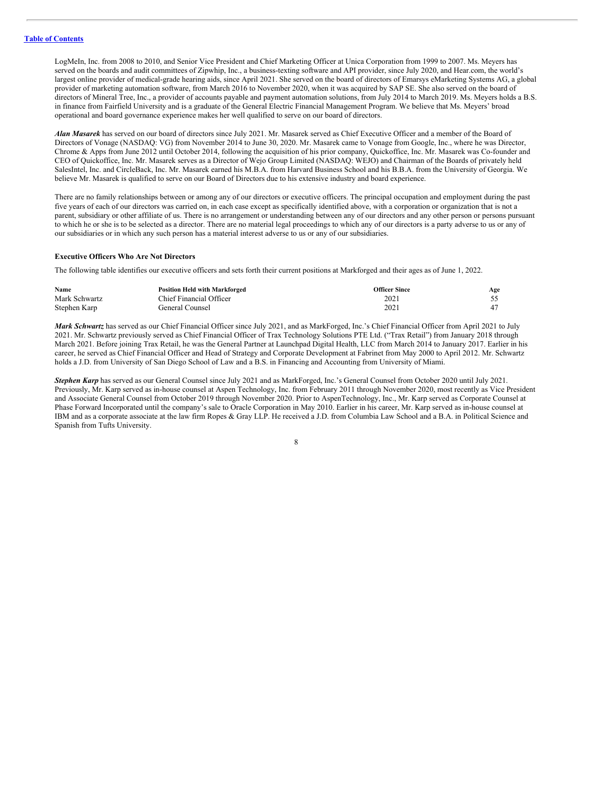LogMeIn, Inc. from 2008 to 2010, and Senior Vice President and Chief Marketing Officer at Unica Corporation from 1999 to 2007. Ms. Meyers has served on the boards and audit committees of Zipwhip, Inc., a business-texting software and API provider, since July 2020, and Hear.com, the world's largest online provider of medical-grade hearing aids, since April 2021. She served on the board of directors of Emarsys eMarketing Systems AG, a global provider of marketing automation software, from March 2016 to November 2020, when it was acquired by SAP SE. She also served on the board of directors of Mineral Tree, Inc., a provider of accounts payable and payment automation solutions, from July 2014 to March 2019. Ms. Meyers holds a B.S. in finance from Fairfield University and is a graduate of the General Electric Financial Management Program. We believe that Ms. Meyers' broad operational and board governance experience makes her well qualified to serve on our board of directors.

*Alan Masarek* has served on our board of directors since July 2021. Mr. Masarek served as Chief Executive Officer and a member of the Board of Directors of Vonage (NASDAQ: VG) from November 2014 to June 30, 2020. Mr. Masarek came to Vonage from Google, Inc., where he was Director, Chrome & Apps from June 2012 until October 2014, following the acquisition of his prior company, Quickoffice, Inc. Mr. Masarek was Co-founder and CEO of Quickoffice, Inc. Mr. Masarek serves as a Director of Wejo Group Limited (NASDAQ: WEJO) and Chairman of the Boards of privately held SalesIntel, Inc. and CircleBack, Inc. Mr. Masarek earned his M.B.A. from Harvard Business School and his B.B.A. from the University of Georgia. We believe Mr. Masarek is qualified to serve on our Board of Directors due to his extensive industry and board experience.

There are no family relationships between or among any of our directors or executive officers. The principal occupation and employment during the past five years of each of our directors was carried on, in each case except as specifically identified above, with a corporation or organization that is not a parent, subsidiary or other affiliate of us. There is no arrangement or understanding between any of our directors and any other person or persons pursuant to which he or she is to be selected as a director. There are no material legal proceedings to which any of our directors is a party adverse to us or any of our subsidiaries or in which any such person has a material interest adverse to us or any of our subsidiaries.

# **Executive Officers Who Are Not Directors**

The following table identifies our executive officers and sets forth their current positions at Markforged and their ages as of June 1, 2022.

| Name          | <b>Position Held with Markforged</b> | <b>Officer Since</b> | Age |
|---------------|--------------------------------------|----------------------|-----|
| Mark Schwartz | Chief Financial Officer              | 2021                 |     |
| Stephen Karp  | General Counsel                      | 2021                 |     |

*Mark Schwartz* has served as our Chief Financial Officer since July 2021, and as MarkForged, Inc.'s Chief Financial Officer from April 2021 to July 2021. Mr. Schwartz previously served as Chief Financial Officer of Trax Technology Solutions PTE Ltd. ("Trax Retail") from January 2018 through March 2021. Before joining Trax Retail, he was the General Partner at Launchpad Digital Health, LLC from March 2014 to January 2017. Earlier in his career, he served as Chief Financial Officer and Head of Strategy and Corporate Development at Fabrinet from May 2000 to April 2012. Mr. Schwartz holds a J.D. from University of San Diego School of Law and a B.S. in Financing and Accounting from University of Miami.

*Stephen Karp* has served as our General Counsel since July 2021 and as MarkForged, Inc.'s General Counsel from October 2020 until July 2021. Previously, Mr. Karp served as in-house counsel at Aspen Technology, Inc. from February 2011 through November 2020, most recently as Vice President and Associate General Counsel from October 2019 through November 2020. Prior to AspenTechnology, Inc., Mr. Karp served as Corporate Counsel at Phase Forward Incorporated until the company's sale to Oracle Corporation in May 2010. Earlier in his career, Mr. Karp served as in-house counsel at IBM and as a corporate associate at the law firm Ropes & Gray LLP. He received a J.D. from Columbia Law School and a B.A. in Political Science and Spanish from Tufts University.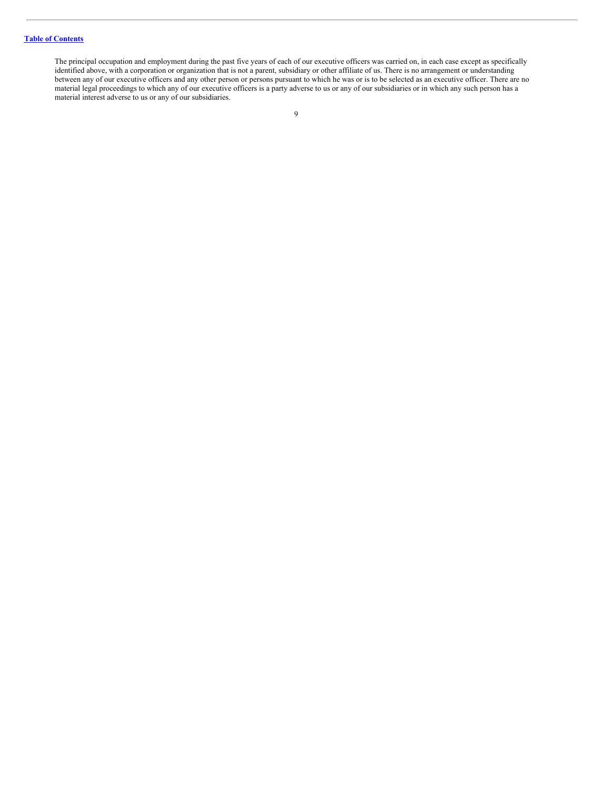# **Table of [Contents](#page-4-0)**

The principal occupation and employment during the past five years of each of our executive officers was carried on, in each case except as specifically identified above, with a corporation or organization that is not a parent, subsidiary or other affiliate of us. There is no arrangement or understanding between any of our executive officers and any other person or persons pursuant to which he was or is to be selected as an executive officer. There are no material legal proceedings to which any of our executive officers is a party adverse to us or any of our subsidiaries or in which any such person has a material interest adverse to us or any of our subsidiaries.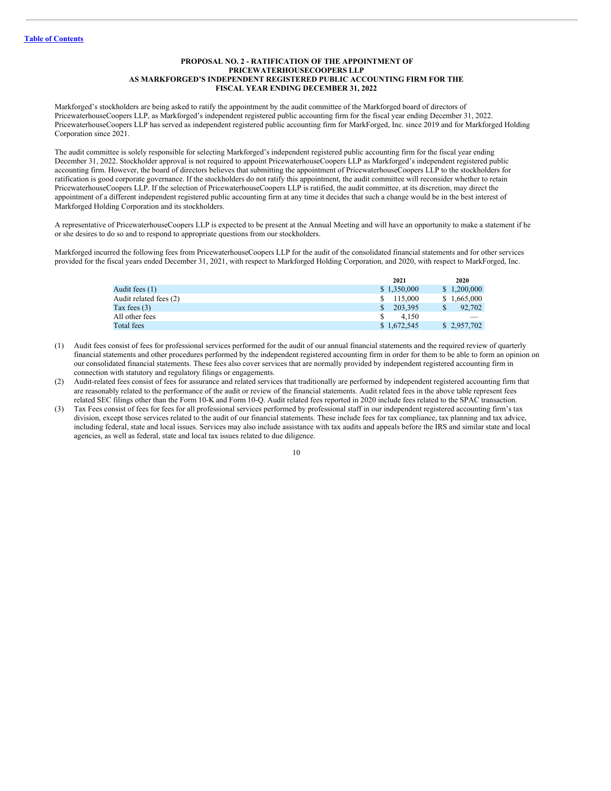# <span id="page-14-0"></span>**PROPOSAL NO. 2 - RATIFICATION OF THE APPOINTMENT OF PRICEWATERHOUSECOOPERS LLP AS MARKFORGED'S INDEPENDENT REGISTERED PUBLIC ACCOUNTING FIRM FOR THE FISCAL YEAR ENDING DECEMBER 31, 2022**

Markforged's stockholders are being asked to ratify the appointment by the audit committee of the Markforged board of directors of PricewaterhouseCoopers LLP, as Markforged's independent registered public accounting firm for the fiscal year ending December 31, 2022. PricewaterhouseCoopers LLP has served as independent registered public accounting firm for MarkForged, Inc. since 2019 and for Markforged Holding Corporation since 2021.

The audit committee is solely responsible for selecting Markforged's independent registered public accounting firm for the fiscal year ending December 31, 2022. Stockholder approval is not required to appoint PricewaterhouseCoopers LLP as Markforged's independent registered public accounting firm. However, the board of directors believes that submitting the appointment of PricewaterhouseCoopers LLP to the stockholders for ratification is good corporate governance. If the stockholders do not ratify this appointment, the audit committee will reconsider whether to retain PricewaterhouseCoopers LLP. If the selection of PricewaterhouseCoopers LLP is ratified, the audit committee, at its discretion, may direct the appointment of a different independent registered public accounting firm at any time it decides that such a change would be in the best interest of Markforged Holding Corporation and its stockholders.

A representative of PricewaterhouseCoopers LLP is expected to be present at the Annual Meeting and will have an opportunity to make a statement if he or she desires to do so and to respond to appropriate questions from our stockholders.

Markforged incurred the following fees from PricewaterhouseCoopers LLP for the audit of the consolidated financial statements and for other services provided for the fiscal years ended December 31, 2021, with respect to Markforged Holding Corporation, and 2020, with respect to MarkForged, Inc.

|                        | 2021          | 2020        |
|------------------------|---------------|-------------|
| Audit fees (1)         | \$1,350,000   | \$1,200,000 |
| Audit related fees (2) | \$ 115,000    | \$1,665,000 |
| Tax fees $(3)$         | 203.395<br>S. | 92,702      |
| All other fees         | 4.150         |             |
| Total fees             | \$1,672,545   | \$2,957,702 |
|                        |               |             |

- (1) Audit fees consist of fees for professional services performed for the audit of our annual financial statements and the required review of quarterly financial statements and other procedures performed by the independent registered accounting firm in order for them to be able to form an opinion on our consolidated financial statements. These fees also cover services that are normally provided by independent registered accounting firm in connection with statutory and regulatory filings or engagements.
- (2) Audit-related fees consist of fees for assurance and related services that traditionally are performed by independent registered accounting firm that are reasonably related to the performance of the audit or review of the financial statements. Audit related fees in the above table represent fees related SEC filings other than the Form 10-K and Form 10-Q. Audit related fees reported in 2020 include fees related to the SPAC transaction.
- (3) Tax Fees consist of fees for fees for all professional services performed by professional staff in our independent registered accounting firm's tax division, except those services related to the audit of our financial statements. These include fees for tax compliance, tax planning and tax advice, including federal, state and local issues. Services may also include assistance with tax audits and appeals before the IRS and similar state and local agencies, as well as federal, state and local tax issues related to due diligence.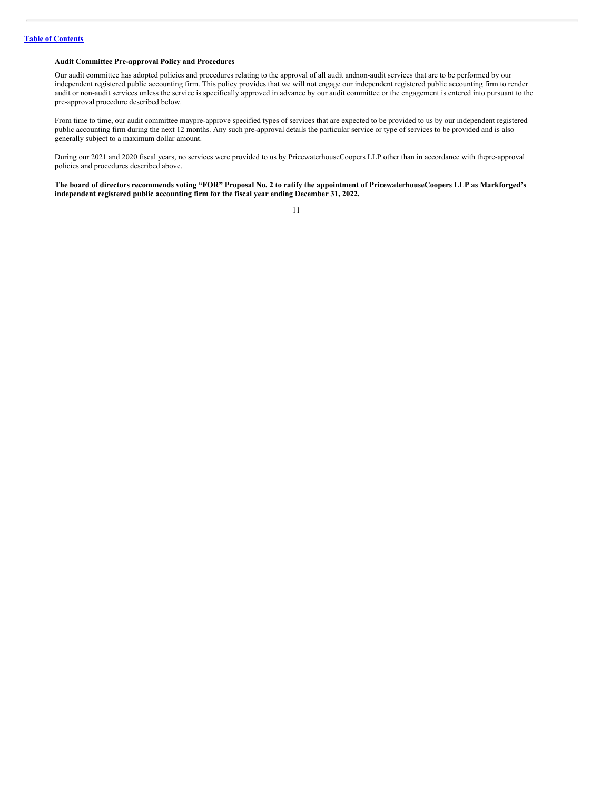# **Audit Committee Pre-approval Policy and Procedures**

Our audit committee has adopted policies and procedures relating to the approval of all audit andnon-audit services that are to be performed by our independent registered public accounting firm. This policy provides that we will not engage our independent registered public accounting firm to render audit or non-audit services unless the service is specifically approved in advance by our audit committee or the engagement is entered into pursuant to the pre-approval procedure described below.

From time to time, our audit committee maypre-approve specified types of services that are expected to be provided to us by our independent registered public accounting firm during the next 12 months. Any such pre-approval details the particular service or type of services to be provided and is also generally subject to a maximum dollar amount.

During our 2021 and 2020 fiscal years, no services were provided to us by PricewaterhouseCoopers LLP other than in accordance with thepre-approval policies and procedures described above.

The board of directors recommends voting "FOR" Proposal No. 2 to ratify the appointment of PricewaterhouseCoopers LLP as Markforged's **independent registered public accounting firm for the fiscal year ending December 31, 2022.**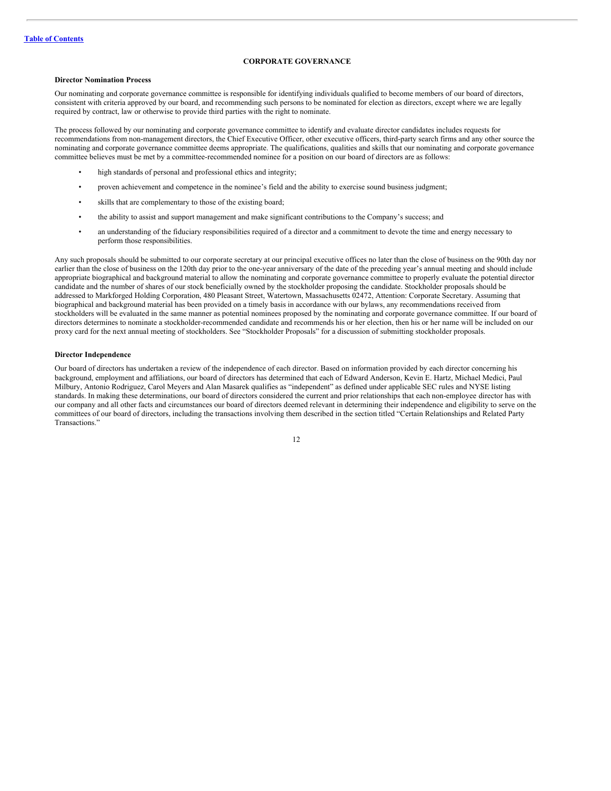# <span id="page-16-0"></span>**CORPORATE GOVERNANCE**

#### **Director Nomination Process**

Our nominating and corporate governance committee is responsible for identifying individuals qualified to become members of our board of directors, consistent with criteria approved by our board, and recommending such persons to be nominated for election as directors, except where we are legally required by contract, law or otherwise to provide third parties with the right to nominate.

The process followed by our nominating and corporate governance committee to identify and evaluate director candidates includes requests for recommendations from non-management directors, the Chief Executive Officer, other executive officers, third-party search firms and any other source the nominating and corporate governance committee deems appropriate. The qualifications, qualities and skills that our nominating and corporate governance committee believes must be met by a committee-recommended nominee for a position on our board of directors are as follows:

- high standards of personal and professional ethics and integrity;
- proven achievement and competence in the nominee's field and the ability to exercise sound business judgment;
- skills that are complementary to those of the existing board;
- the ability to assist and support management and make significant contributions to the Company's success; and
- an understanding of the fiduciary responsibilities required of a director and a commitment to devote the time and energy necessary to perform those responsibilities.

Any such proposals should be submitted to our corporate secretary at our principal executive offices no later than the close of business on the 90th day nor earlier than the close of business on the 120th day prior to the one-year anniversary of the date of the preceding year's annual meeting and should include appropriate biographical and background material to allow the nominating and corporate governance committee to properly evaluate the potential director candidate and the number of shares of our stock beneficially owned by the stockholder proposing the candidate. Stockholder proposals should be addressed to Markforged Holding Corporation, 480 Pleasant Street, Watertown, Massachusetts 02472, Attention: Corporate Secretary. Assuming that biographical and background material has been provided on a timely basis in accordance with our bylaws, any recommendations received from stockholders will be evaluated in the same manner as potential nominees proposed by the nominating and corporate governance committee. If our board of directors determines to nominate a stockholder-recommended candidate and recommends his or her election, then his or her name will be included on our proxy card for the next annual meeting of stockholders. See "Stockholder Proposals" for a discussion of submitting stockholder proposals.

#### **Director Independence**

Our board of directors has undertaken a review of the independence of each director. Based on information provided by each director concerning his background, employment and affiliations, our board of directors has determined that each of Edward Anderson, Kevin E. Hartz, Michael Medici, Paul Milbury, Antonio Rodriguez, Carol Meyers and Alan Masarek qualifies as "independent" as defined under applicable SEC rules and NYSE listing standards. In making these determinations, our board of directors considered the current and prior relationships that each non-employee director has with our company and all other facts and circumstances our board of directors deemed relevant in determining their independence and eligibility to serve on the committees of our board of directors, including the transactions involving them described in the section titled "Certain Relationships and Related Party Transactions."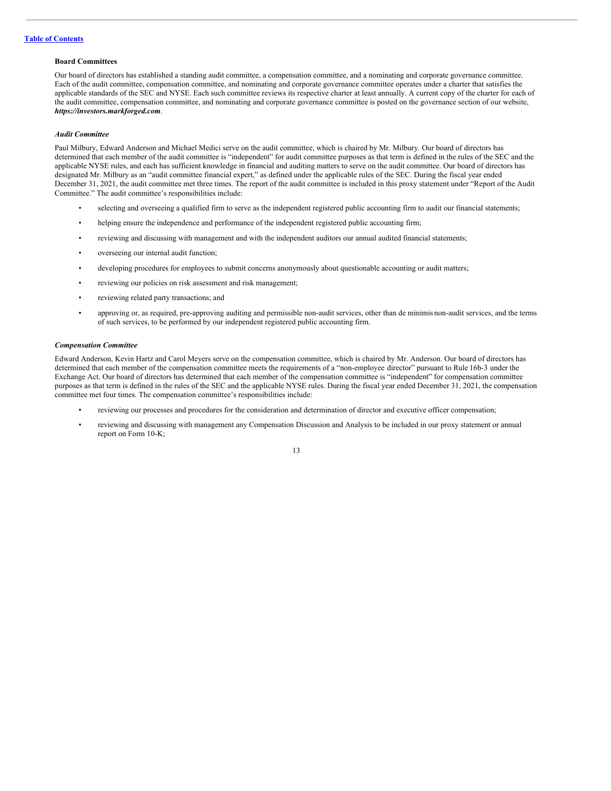# **Board Committees**

Our board of directors has established a standing audit committee, a compensation committee, and a nominating and corporate governance committee. Each of the audit committee, compensation committee, and nominating and corporate governance committee operates under a charter that satisfies the applicable standards of the SEC and NYSE. Each such committee reviews its respective charter at least annually. A current copy of the charter for each of the audit committee, compensation committee, and nominating and corporate governance committee is posted on the governance section of our website, *https://investors.markforged.com*.

#### *Audit Committee*

Paul Milbury, Edward Anderson and Michael Medici serve on the audit committee, which is chaired by Mr. Milbury. Our board of directors has determined that each member of the audit committee is "independent" for audit committee purposes as that term is defined in the rules of the SEC and the applicable NYSE rules, and each has sufficient knowledge in financial and auditing matters to serve on the audit committee. Our board of directors has designated Mr. Milbury as an "audit committee financial expert," as defined under the applicable rules of the SEC. During the fiscal year ended December 31, 2021, the audit committee met three times. The report of the audit committee is included in this proxy statement under "Report of the Audit Committee." The audit committee's responsibilities include:

- selecting and overseeing a qualified firm to serve as the independent registered public accounting firm to audit our financial statements;
- helping ensure the independence and performance of the independent registered public accounting firm;
- reviewing and discussing with management and with the independent auditors our annual audited financial statements;
- overseeing our internal audit function;
- developing procedures for employees to submit concerns anonymously about questionable accounting or audit matters;
- reviewing our policies on risk assessment and risk management;
- reviewing related party transactions; and
- approving or, as required, pre-approving auditing and permissible non-audit services, other than de minimis non-audit services, and the terms of such services, to be performed by our independent registered public accounting firm.

#### *Compensation Committee*

Edward Anderson, Kevin Hartz and Carol Meyers serve on the compensation committee, which is chaired by Mr. Anderson. Our board of directors has determined that each member of the compensation committee meets the requirements of a "non-employee director" pursuant to Rule 16b-3 under the Exchange Act. Our board of directors has determined that each member of the compensation committee is "independent" for compensation committee purposes as that term is defined in the rules of the SEC and the applicable NYSE rules. During the fiscal year ended December 31, 2021, the compensation committee met four times. The compensation committee's responsibilities include:

- reviewing our processes and procedures for the consideration and determination of director and executive officer compensation;
- reviewing and discussing with management any Compensation Discussion and Analysis to be included in our proxy statement or annual report on Form 10-K;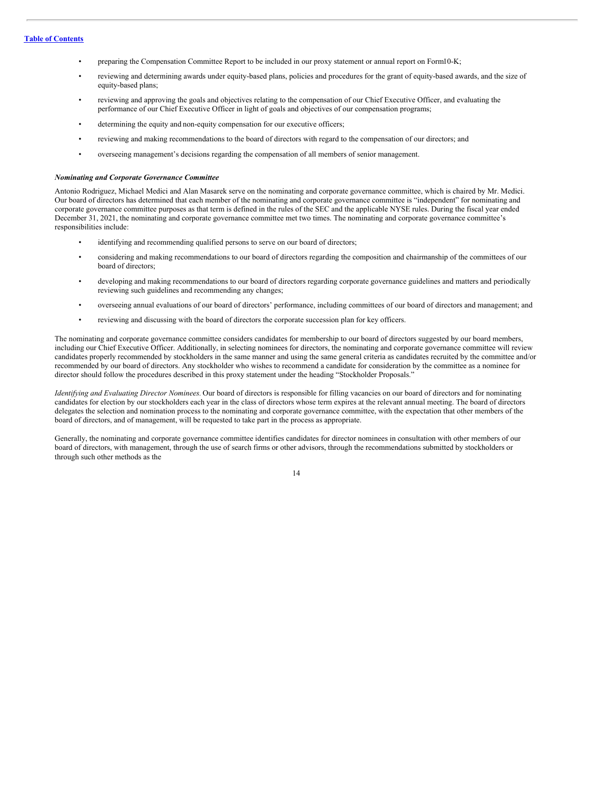- preparing the Compensation Committee Report to be included in our proxy statement or annual report on Form10-K;
- reviewing and determining awards under equity-based plans, policies and procedures for the grant of equity-based awards, and the size of equity-based plans;
- reviewing and approving the goals and objectives relating to the compensation of our Chief Executive Officer, and evaluating the performance of our Chief Executive Officer in light of goals and objectives of our compensation programs;
- determining the equity and non-equity compensation for our executive officers;
- reviewing and making recommendations to the board of directors with regard to the compensation of our directors; and
- overseeing management's decisions regarding the compensation of all members of senior management.

#### *Nominating and Corporate Governance Committee*

Antonio Rodriguez, Michael Medici and Alan Masarek serve on the nominating and corporate governance committee, which is chaired by Mr. Medici. Our board of directors has determined that each member of the nominating and corporate governance committee is "independent" for nominating and corporate governance committee purposes as that term is defined in the rules of the SEC and the applicable NYSE rules. During the fiscal year ended December 31, 2021, the nominating and corporate governance committee met two times. The nominating and corporate governance committee's responsibilities include:

- identifying and recommending qualified persons to serve on our board of directors;
- considering and making recommendations to our board of directors regarding the composition and chairmanship of the committees of our board of directors;
- developing and making recommendations to our board of directors regarding corporate governance guidelines and matters and periodically reviewing such guidelines and recommending any changes;
- overseeing annual evaluations of our board of directors' performance, including committees of our board of directors and management; and
- reviewing and discussing with the board of directors the corporate succession plan for key officers.

The nominating and corporate governance committee considers candidates for membership to our board of directors suggested by our board members, including our Chief Executive Officer. Additionally, in selecting nominees for directors, the nominating and corporate governance committee will review candidates properly recommended by stockholders in the same manner and using the same general criteria as candidates recruited by the committee and/or recommended by our board of directors. Any stockholder who wishes to recommend a candidate for consideration by the committee as a nominee for director should follow the procedures described in this proxy statement under the heading "Stockholder Proposals."

*Identifying and Evaluating Director Nominees.* Our board of directors is responsible for filling vacancies on our board of directors and for nominating candidates for election by our stockholders each year in the class of directors whose term expires at the relevant annual meeting. The board of directors delegates the selection and nomination process to the nominating and corporate governance committee, with the expectation that other members of the board of directors, and of management, will be requested to take part in the process as appropriate.

Generally, the nominating and corporate governance committee identifies candidates for director nominees in consultation with other members of our board of directors, with management, through the use of search firms or other advisors, through the recommendations submitted by stockholders or through such other methods as the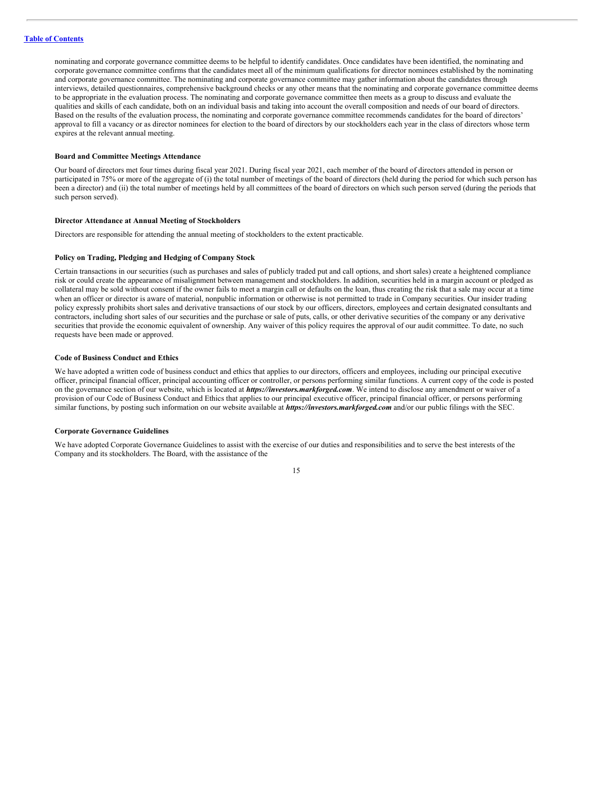nominating and corporate governance committee deems to be helpful to identify candidates. Once candidates have been identified, the nominating and corporate governance committee confirms that the candidates meet all of the minimum qualifications for director nominees established by the nominating and corporate governance committee. The nominating and corporate governance committee may gather information about the candidates through interviews, detailed questionnaires, comprehensive background checks or any other means that the nominating and corporate governance committee deems to be appropriate in the evaluation process. The nominating and corporate governance committee then meets as a group to discuss and evaluate the qualities and skills of each candidate, both on an individual basis and taking into account the overall composition and needs of our board of directors. Based on the results of the evaluation process, the nominating and corporate governance committee recommends candidates for the board of directors' approval to fill a vacancy or as director nominees for election to the board of directors by our stockholders each year in the class of directors whose term expires at the relevant annual meeting.

# **Board and Committee Meetings Attendance**

Our board of directors met four times during fiscal year 2021. During fiscal year 2021, each member of the board of directors attended in person or participated in 75% or more of the aggregate of (i) the total number of meetings of the board of directors (held during the period for which such person has been a director) and (ii) the total number of meetings held by all committees of the board of directors on which such person served (during the periods that such person served).

#### **Director Attendance at Annual Meeting of Stockholders**

Directors are responsible for attending the annual meeting of stockholders to the extent practicable.

#### **Policy on Trading, Pledging and Hedging of Company Stock**

Certain transactions in our securities (such as purchases and sales of publicly traded put and call options, and short sales) create a heightened compliance risk or could create the appearance of misalignment between management and stockholders. In addition, securities held in a margin account or pledged as collateral may be sold without consent if the owner fails to meet a margin call or defaults on the loan, thus creating the risk that a sale may occur at a time when an officer or director is aware of material, nonpublic information or otherwise is not permitted to trade in Company securities. Our insider trading policy expressly prohibits short sales and derivative transactions of our stock by our officers, directors, employees and certain designated consultants and contractors, including short sales of our securities and the purchase or sale of puts, calls, or other derivative securities of the company or any derivative securities that provide the economic equivalent of ownership. Any waiver of this policy requires the approval of our audit committee. To date, no such requests have been made or approved.

#### **Code of Business Conduct and Ethics**

We have adopted a written code of business conduct and ethics that applies to our directors, officers and employees, including our principal executive officer, principal financial officer, principal accounting officer or controller, or persons performing similar functions. A current copy of the code is posted on the governance section of our website, which is located at *https://investors.markforged.com*. We intend to disclose any amendment or waiver of a provision of our Code of Business Conduct and Ethics that applies to our principal executive officer, principal financial officer, or persons performing similar functions, by posting such information on our website available at *https://investors.markforged.com* and/or our public filings with the SEC.

#### **Corporate Governance Guidelines**

We have adopted Corporate Governance Guidelines to assist with the exercise of our duties and responsibilities and to serve the best interests of the Company and its stockholders. The Board, with the assistance of the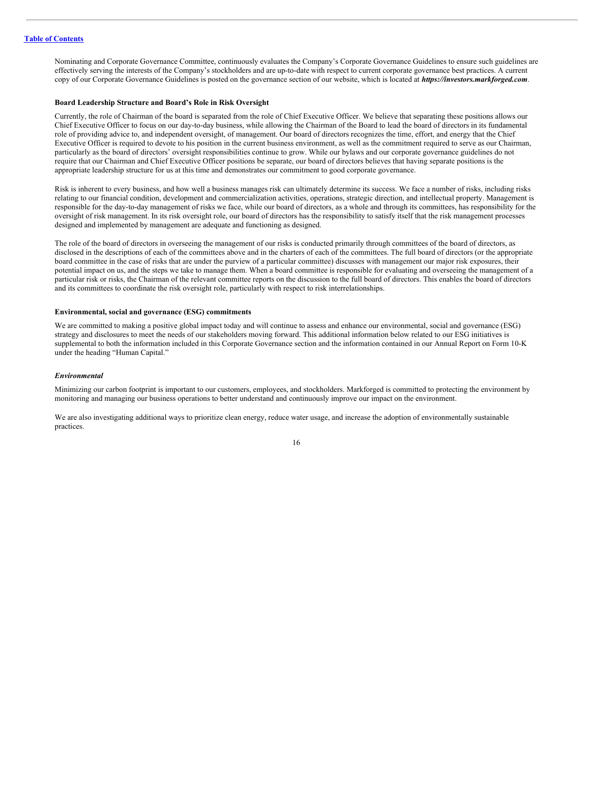Nominating and Corporate Governance Committee, continuously evaluates the Company's Corporate Governance Guidelines to ensure such guidelines are effectively serving the interests of the Company's stockholders and are up-to-date with respect to current corporate governance best practices. A current copy of our Corporate Governance Guidelines is posted on the governance section of our website, which is located at *https://investors.markforged.com*.

#### **Board Leadership Structure and Board's Role in Risk Oversight**

Currently, the role of Chairman of the board is separated from the role of Chief Executive Officer. We believe that separating these positions allows our Chief Executive Officer to focus on our day-to-day business, while allowing the Chairman of the Board to lead the board of directors in its fundamental role of providing advice to, and independent oversight, of management. Our board of directors recognizes the time, effort, and energy that the Chief Executive Officer is required to devote to his position in the current business environment, as well as the commitment required to serve as our Chairman, particularly as the board of directors' oversight responsibilities continue to grow. While our bylaws and our corporate governance guidelines do not require that our Chairman and Chief Executive Officer positions be separate, our board of directors believes that having separate positions is the appropriate leadership structure for us at this time and demonstrates our commitment to good corporate governance.

Risk is inherent to every business, and how well a business manages risk can ultimately determine its success. We face a number of risks, including risks relating to our financial condition, development and commercialization activities, operations, strategic direction, and intellectual property. Management is responsible for the day-to-day management of risks we face, while our board of directors, as a whole and through its committees, has responsibility for the oversight of risk management. In its risk oversight role, our board of directors has the responsibility to satisfy itself that the risk management processes designed and implemented by management are adequate and functioning as designed.

The role of the board of directors in overseeing the management of our risks is conducted primarily through committees of the board of directors, as disclosed in the descriptions of each of the committees above and in the charters of each of the committees. The full board of directors (or the appropriate board committee in the case of risks that are under the purview of a particular committee) discusses with management our major risk exposures, their potential impact on us, and the steps we take to manage them. When a board committee is responsible for evaluating and overseeing the management of a particular risk or risks, the Chairman of the relevant committee reports on the discussion to the full board of directors. This enables the board of directors and its committees to coordinate the risk oversight role, particularly with respect to risk interrelationships.

# **Environmental, social and governance (ESG) commitments**

We are committed to making a positive global impact today and will continue to assess and enhance our environmental, social and governance (ESG) strategy and disclosures to meet the needs of our stakeholders moving forward. This additional information below related to our ESG initiatives is supplemental to both the information included in this Corporate Governance section and the information contained in our Annual Report on Form 10-K under the heading "Human Capital."

#### *Environmental*

Minimizing our carbon footprint is important to our customers, employees, and stockholders. Markforged is committed to protecting the environment by monitoring and managing our business operations to better understand and continuously improve our impact on the environment.

We are also investigating additional ways to prioritize clean energy, reduce water usage, and increase the adoption of environmentally sustainable practices.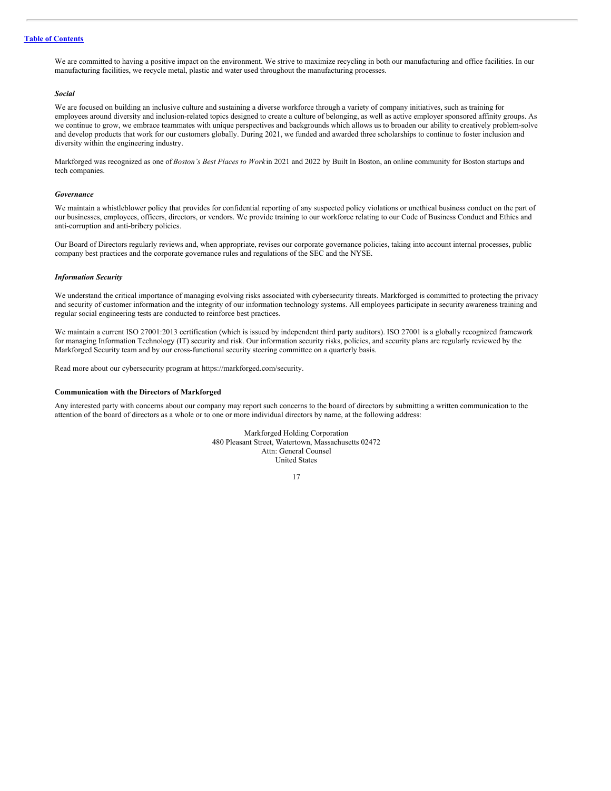# **Table of [Contents](#page-4-0)**

We are committed to having a positive impact on the environment. We strive to maximize recycling in both our manufacturing and office facilities. In our manufacturing facilities, we recycle metal, plastic and water used throughout the manufacturing processes.

#### *Social*

We are focused on building an inclusive culture and sustaining a diverse workforce through a variety of company initiatives, such as training for employees around diversity and inclusion-related topics designed to create a culture of belonging, as well as active employer sponsored affinity groups. As we continue to grow, we embrace teammates with unique perspectives and backgrounds which allows us to broaden our ability to creatively problem-solve and develop products that work for our customers globally. During 2021, we funded and awarded three scholarships to continue to foster inclusion and diversity within the engineering industry.

Markforged was recognized as one of *Boston's Best Places to Work* in 2021 and 2022 by Built In Boston, an online community for Boston startups and tech companies.

#### *Governance*

We maintain a whistleblower policy that provides for confidential reporting of any suspected policy violations or unethical business conduct on the part of our businesses, employees, officers, directors, or vendors. We provide training to our workforce relating to our Code of Business Conduct and Ethics and anti-corruption and anti-bribery policies.

Our Board of Directors regularly reviews and, when appropriate, revises our corporate governance policies, taking into account internal processes, public company best practices and the corporate governance rules and regulations of the SEC and the NYSE.

#### *Information Security*

We understand the critical importance of managing evolving risks associated with cybersecurity threats. Markforged is committed to protecting the privacy and security of customer information and the integrity of our information technology systems. All employees participate in security awareness training and regular social engineering tests are conducted to reinforce best practices.

We maintain a current ISO 27001:2013 certification (which is issued by independent third party auditors). ISO 27001 is a globally recognized framework for managing Information Technology (IT) security and risk. Our information security risks, policies, and security plans are regularly reviewed by the Markforged Security team and by our cross-functional security steering committee on a quarterly basis.

Read more about our cybersecurity program at https://markforged.com/security.

#### **Communication with the Directors of Markforged**

Any interested party with concerns about our company may report such concerns to the board of directors by submitting a written communication to the attention of the board of directors as a whole or to one or more individual directors by name, at the following address:

> Markforged Holding Corporation 480 Pleasant Street, Watertown, Massachusetts 02472 Attn: General Counsel United States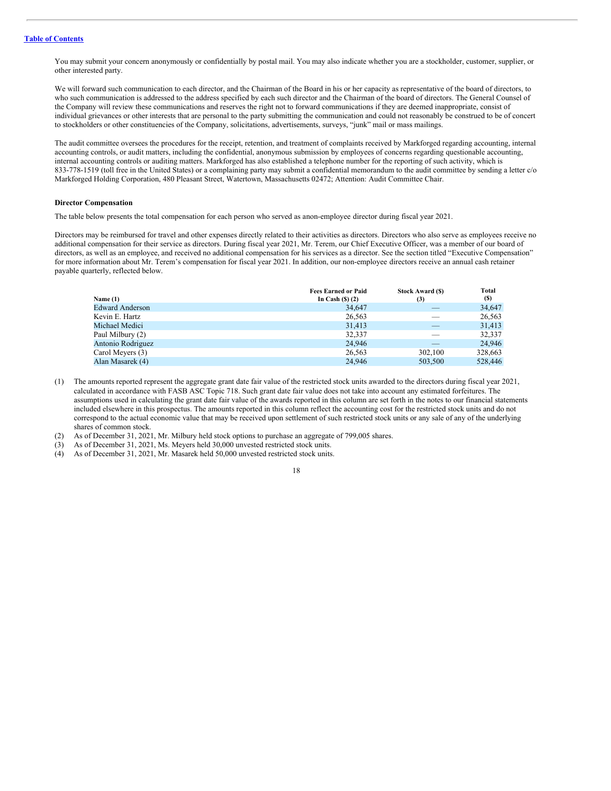You may submit your concern anonymously or confidentially by postal mail. You may also indicate whether you are a stockholder, customer, supplier, or other interested party.

We will forward such communication to each director, and the Chairman of the Board in his or her capacity as representative of the board of directors, to who such communication is addressed to the address specified by each such director and the Chairman of the board of directors. The General Counsel of the Company will review these communications and reserves the right not to forward communications if they are deemed inappropriate, consist of individual grievances or other interests that are personal to the party submitting the communication and could not reasonably be construed to be of concert to stockholders or other constituencies of the Company, solicitations, advertisements, surveys, "junk" mail or mass mailings.

The audit committee oversees the procedures for the receipt, retention, and treatment of complaints received by Markforged regarding accounting, internal accounting controls, or audit matters, including the confidential, anonymous submission by employees of concerns regarding questionable accounting, internal accounting controls or auditing matters. Markforged has also established a telephone number for the reporting of such activity, which is 833-778-1519 (toll free in the United States) or a complaining party may submit a confidential memorandum to the audit committee by sending a letter c/o Markforged Holding Corporation, 480 Pleasant Street, Watertown, Massachusetts 02472; Attention: Audit Committee Chair.

#### **Director Compensation**

The table below presents the total compensation for each person who served as anon-employee director during fiscal year 2021.

Directors may be reimbursed for travel and other expenses directly related to their activities as directors. Directors who also serve as employees receive no additional compensation for their service as directors. During fiscal year 2021, Mr. Terem, our Chief Executive Officer, was a member of our board of directors, as well as an employee, and received no additional compensation for his services as a director. See the section titled "Executive Compensation" for more information about Mr. Terem's compensation for fiscal year 2021. In addition, our non-employee directors receive an annual cash retainer payable quarterly, reflected below.

|                        | <b>Fees Earned or Paid</b> | <b>Stock Award (\$)</b> | Total   |
|------------------------|----------------------------|-------------------------|---------|
| Name $(1)$             | In Cash $(S)$ $(2)$        | (3)                     | (S)     |
| <b>Edward Anderson</b> | 34,647                     | _                       | 34,647  |
| Kevin E. Hartz         | 26,563                     |                         | 26,563  |
| Michael Medici         | 31,413                     |                         | 31,413  |
| Paul Milbury (2)       | 32,337                     | _                       | 32,337  |
| Antonio Rodriguez      | 24,946                     | _                       | 24,946  |
| Carol Meyers (3)       | 26,563                     | 302,100                 | 328,663 |
| Alan Masarek (4)       | 24,946                     | 503,500                 | 528,446 |

- (1) The amounts reported represent the aggregate grant date fair value of the restricted stock units awarded to the directors during fiscal year 2021, calculated in accordance with FASB ASC Topic 718. Such grant date fair value does not take into account any estimated forfeitures. The assumptions used in calculating the grant date fair value of the awards reported in this column are set forth in the notes to our financial statements included elsewhere in this prospectus. The amounts reported in this column reflect the accounting cost for the restricted stock units and do not correspond to the actual economic value that may be received upon settlement of such restricted stock units or any sale of any of the underlying shares of common stock.
- (2) As of December 31, 2021, Mr. Milbury held stock options to purchase an aggregate of 799,005 shares.
- (3) As of December 31, 2021, Ms. Meyers held 30,000 unvested restricted stock units.
- (4) As of December 31, 2021, Mr. Masarek held 50,000 unvested restricted stock units.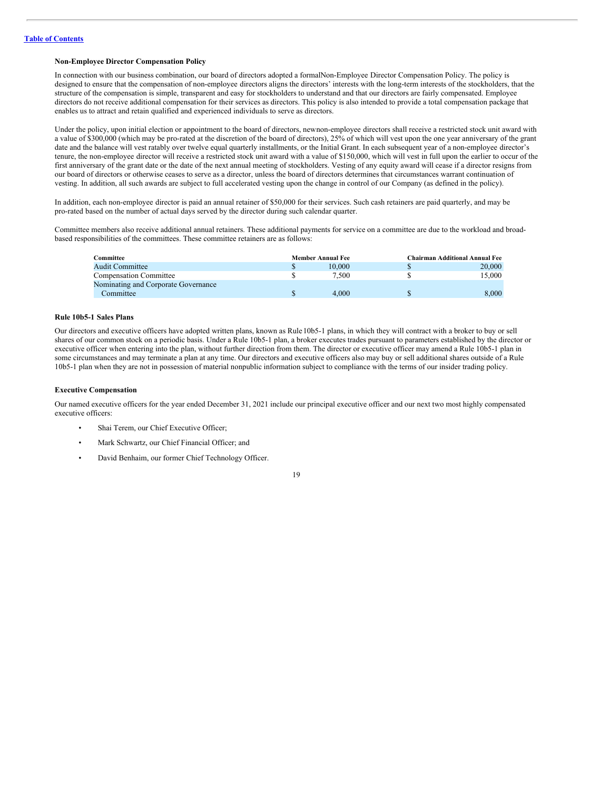# **Non-Employee Director Compensation Policy**

In connection with our business combination, our board of directors adopted a formalNon-Employee Director Compensation Policy. The policy is designed to ensure that the compensation of non-employee directors aligns the directors' interests with the long-term interests of the stockholders, that the structure of the compensation is simple, transparent and easy for stockholders to understand and that our directors are fairly compensated. Employee directors do not receive additional compensation for their services as directors. This policy is also intended to provide a total compensation package that enables us to attract and retain qualified and experienced individuals to serve as directors.

Under the policy, upon initial election or appointment to the board of directors, newnon-employee directors shall receive a restricted stock unit award with a value of \$300,000 (which may be pro-rated at the discretion of the board of directors), 25% of which will vest upon the one year anniversary of the grant date and the balance will vest ratably over twelve equal quarterly installments, or the Initial Grant. In each subsequent year of a non-employee director's tenure, the non-employee director will receive a restricted stock unit award with a value of \$150,000, which will vest in full upon the earlier to occur of the first anniversary of the grant date or the date of the next annual meeting of stockholders. Vesting of any equity award will cease if a director resigns from our board of directors or otherwise ceases to serve as a director, unless the board of directors determines that circumstances warrant continuation of vesting. In addition, all such awards are subject to full accelerated vesting upon the change in control of our Company (as defined in the policy).

In addition, each non-employee director is paid an annual retainer of \$50,000 for their services. Such cash retainers are paid quarterly, and may be pro-rated based on the number of actual days served by the director during such calendar quarter.

Committee members also receive additional annual retainers. These additional payments for service on a committee are due to the workload and broadbased responsibilities of the committees. These committee retainers are as follows:

| Committee                           | <b>Member Annual Fee</b> |        | <b>Chairman Additional Annual Fee</b> |        |
|-------------------------------------|--------------------------|--------|---------------------------------------|--------|
| <b>Audit Committee</b>              |                          | 10,000 |                                       | 20,000 |
| <b>Compensation Committee</b>       |                          | 7.500  |                                       | 15.000 |
| Nominating and Corporate Governance |                          |        |                                       |        |
| Committee                           |                          | 4.000  |                                       | 8.000  |

#### **Rule 10b5-1 Sales Plans**

Our directors and executive officers have adopted written plans, known as Rule10b5-1 plans, in which they will contract with a broker to buy or sell shares of our common stock on a periodic basis. Under a Rule 10b5-1 plan, a broker executes trades pursuant to parameters established by the director or executive officer when entering into the plan, without further direction from them. The director or executive officer may amend a Rule 10b5-1 plan in some circumstances and may terminate a plan at any time. Our directors and executive officers also may buy or sell additional shares outside of a Rule 10b5-1 plan when they are not in possession of material nonpublic information subject to compliance with the terms of our insider trading policy.

#### **Executive Compensation**

Our named executive officers for the year ended December 31, 2021 include our principal executive officer and our next two most highly compensated executive officers:

- Shai Terem, our Chief Executive Officer;
- Mark Schwartz, our Chief Financial Officer; and
- David Benhaim, our former Chief Technology Officer.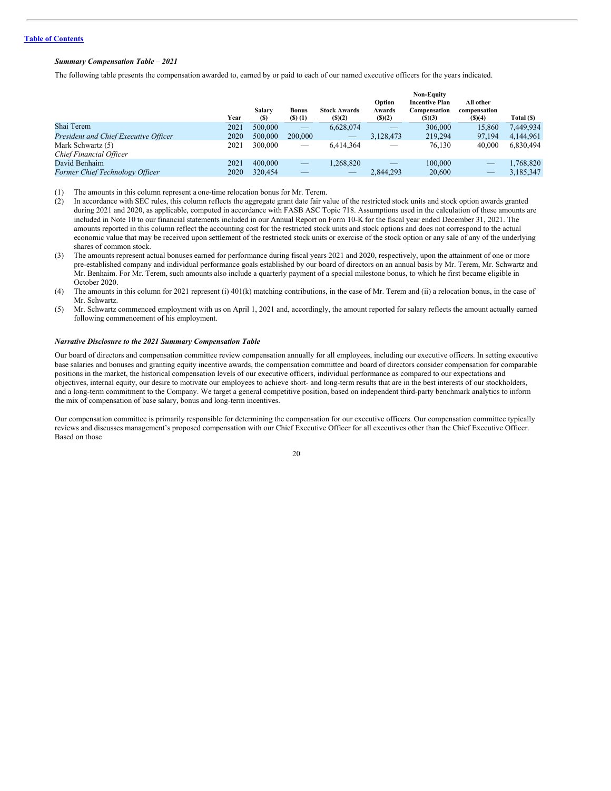# *Summary Compensation Table – 2021*

The following table presents the compensation awarded to, earned by or paid to each of our named executive officers for the years indicated.

|                                              | Year | Salary<br>(S) | <b>Bonus</b><br>$($ \$ $)$ $($ 1 $)$ | <b>Stock Awards</b><br>(5)(2) | Option<br>Awards<br>(5)(2) | <b>Non-Equity</b><br><b>Incentive Plan</b><br>Compensation<br>(S)(3) | All other<br>compensation<br>$($ (\$)(4) | Total (\$) |
|----------------------------------------------|------|---------------|--------------------------------------|-------------------------------|----------------------------|----------------------------------------------------------------------|------------------------------------------|------------|
| Shai Terem                                   | 2021 | 500,000       | –                                    | 6,628,074                     |                            | 306,000                                                              | 15.860                                   | 7,449,934  |
| President and Chief Executive Officer        | 2020 | 500,000       | 200,000                              | $\overline{\phantom{a}}$      | 3,128,473                  | 219,294                                                              | 97,194                                   | 4,144,961  |
| Mark Schwartz (5)<br>Chief Financial Officer | 2021 | 300,000       | _                                    | 6.414.364                     | _                          | 76.130                                                               | 40,000                                   | 6,830,494  |
| David Benhaim                                | 2021 | 400,000       |                                      | 1,268,820                     | _                          | 100,000                                                              | $\overline{\phantom{m}}$                 | 1,768,820  |
| <b>Former Chief Technology Officer</b>       | 2020 | 320,454       | _                                    | _                             | 2,844,293                  | 20,600                                                               |                                          | 3,185,347  |

(1) The amounts in this column represent a one-time relocation bonus for Mr. Terem.

(2) In accordance with SEC rules, this column reflects the aggregate grant date fair value of the restricted stock units and stock option awards granted during 2021 and 2020, as applicable, computed in accordance with FASB ASC Topic 718. Assumptions used in the calculation of these amounts are included in Note 10 to our financial statements included in our Annual Report on Form 10-K for the fiscal year ended December 31, 2021. The amounts reported in this column reflect the accounting cost for the restricted stock units and stock options and does not correspond to the actual economic value that may be received upon settlement of the restricted stock units or exercise of the stock option or any sale of any of the underlying shares of common stock.

- (3) The amounts represent actual bonuses earned for performance during fiscal years 2021 and 2020, respectively, upon the attainment of one or more pre-established company and individual performance goals established by our board of directors on an annual basis by Mr. Terem, Mr. Schwartz and Mr. Benhaim. For Mr. Terem, such amounts also include a quarterly payment of a special milestone bonus, to which he first became eligible in October 2020.
- (4) The amounts in this column for 2021 represent (i) 401(k) matching contributions, in the case of Mr. Terem and (ii) a relocation bonus, in the case of Mr. Schwartz.
- (5) Mr. Schwartz commenced employment with us on April 1, 2021 and, accordingly, the amount reported for salary reflects the amount actually earned following commencement of his employment.

#### *Narrative Disclosure to the 2021 Summary Compensation Table*

Our board of directors and compensation committee review compensation annually for all employees, including our executive officers. In setting executive base salaries and bonuses and granting equity incentive awards, the compensation committee and board of directors consider compensation for comparable positions in the market, the historical compensation levels of our executive officers, individual performance as compared to our expectations and objectives, internal equity, our desire to motivate our employees to achieve short- and long-term results that are in the best interests of our stockholders, and a long-term commitment to the Company. We target a general competitive position, based on independent third-party benchmark analytics to inform the mix of compensation of base salary, bonus and long-term incentives.

Our compensation committee is primarily responsible for determining the compensation for our executive officers. Our compensation committee typically reviews and discusses management's proposed compensation with our Chief Executive Officer for all executives other than the Chief Executive Officer. Based on those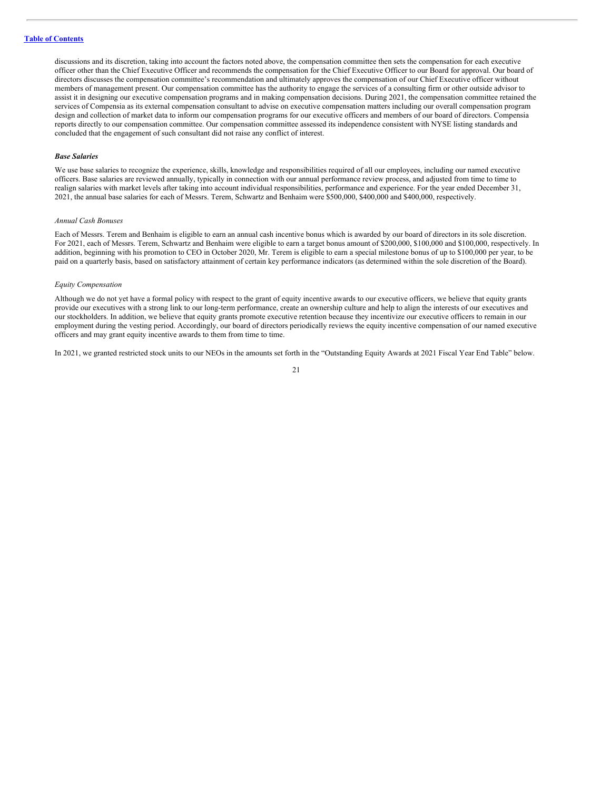discussions and its discretion, taking into account the factors noted above, the compensation committee then sets the compensation for each executive officer other than the Chief Executive Officer and recommends the compensation for the Chief Executive Officer to our Board for approval. Our board of directors discusses the compensation committee's recommendation and ultimately approves the compensation of our Chief Executive officer without members of management present. Our compensation committee has the authority to engage the services of a consulting firm or other outside advisor to assist it in designing our executive compensation programs and in making compensation decisions. During 2021, the compensation committee retained the services of Compensia as its external compensation consultant to advise on executive compensation matters including our overall compensation program design and collection of market data to inform our compensation programs for our executive officers and members of our board of directors. Compensia reports directly to our compensation committee. Our compensation committee assessed its independence consistent with NYSE listing standards and concluded that the engagement of such consultant did not raise any conflict of interest.

#### *Base Salaries*

We use base salaries to recognize the experience, skills, knowledge and responsibilities required of all our employees, including our named executive officers. Base salaries are reviewed annually, typically in connection with our annual performance review process, and adjusted from time to time to realign salaries with market levels after taking into account individual responsibilities, performance and experience. For the year ended December 31, 2021, the annual base salaries for each of Messrs. Terem, Schwartz and Benhaim were \$500,000, \$400,000 and \$400,000, respectively.

#### *Annual Cash Bonuses*

Each of Messrs. Terem and Benhaim is eligible to earn an annual cash incentive bonus which is awarded by our board of directors in its sole discretion. For 2021, each of Messrs. Terem, Schwartz and Benhaim were eligible to earn a target bonus amount of \$200,000, \$100,000 and \$100,000, respectively. In addition, beginning with his promotion to CEO in October 2020, Mr. Terem is eligible to earn a special milestone bonus of up to \$100,000 per year, to be paid on a quarterly basis, based on satisfactory attainment of certain key performance indicators (as determined within the sole discretion of the Board).

#### *Equity Compensation*

Although we do not yet have a formal policy with respect to the grant of equity incentive awards to our executive officers, we believe that equity grants provide our executives with a strong link to our long-term performance, create an ownership culture and help to align the interests of our executives and our stockholders. In addition, we believe that equity grants promote executive retention because they incentivize our executive officers to remain in our employment during the vesting period. Accordingly, our board of directors periodically reviews the equity incentive compensation of our named executive officers and may grant equity incentive awards to them from time to time.

In 2021, we granted restricted stock units to our NEOs in the amounts set forth in the "Outstanding Equity Awards at 2021 Fiscal Year End Table" below.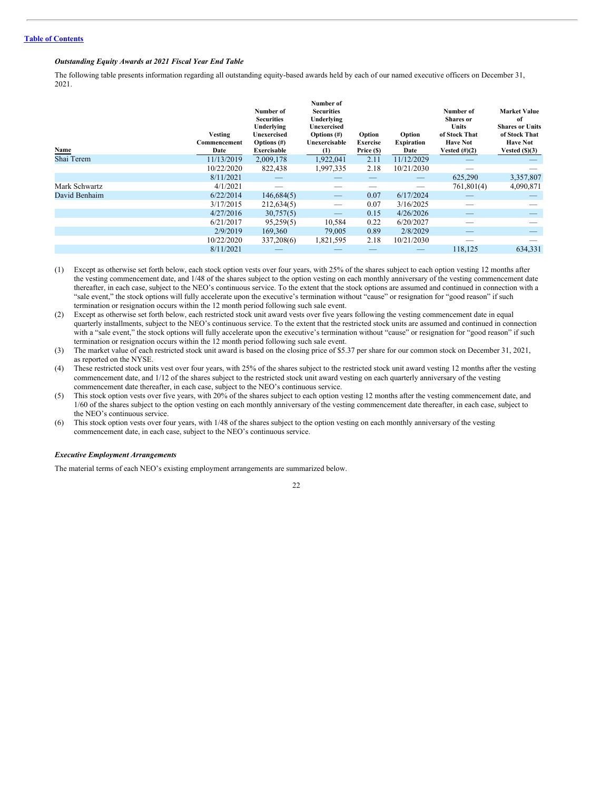# *Outstanding Equity Awards at 2021 Fiscal Year End Table*

The following table presents information regarding all outstanding equity-based awards held by each of our named executive officers on December 31, 2021.

| Name          | <b>Vesting</b><br>Commencement<br>Date | Number of<br><b>Securities</b><br>Underlying<br>Unexercised<br>Options $(\#)$<br>Exercisable | Number of<br><b>Securities</b><br>Underlying<br>Unexercised<br>Options $(\#)$<br>Unexercisable<br>(1) | Option<br>Exercise<br>Price (\$) | Option<br><b>Expiration</b><br>Date | Number of<br><b>Shares</b> or<br><b>Units</b><br>of Stock That<br><b>Have Not</b><br>Vested $(\#)(2)$ | <b>Market Value</b><br>of<br><b>Shares or Units</b><br>of Stock That<br><b>Have Not</b><br>Vested $(\text{S})(3)$ |
|---------------|----------------------------------------|----------------------------------------------------------------------------------------------|-------------------------------------------------------------------------------------------------------|----------------------------------|-------------------------------------|-------------------------------------------------------------------------------------------------------|-------------------------------------------------------------------------------------------------------------------|
| Shai Terem    | 11/13/2019                             | 2,009,178                                                                                    | 1,922,041                                                                                             | 2.11                             | 11/12/2029                          |                                                                                                       |                                                                                                                   |
|               | 10/22/2020                             | 822,438                                                                                      | 1,997,335                                                                                             | 2.18                             | 10/21/2030                          |                                                                                                       |                                                                                                                   |
|               | 8/11/2021                              |                                                                                              |                                                                                                       |                                  | _                                   | 625,290                                                                                               | 3,357,807                                                                                                         |
| Mark Schwartz | 4/1/2021                               |                                                                                              |                                                                                                       |                                  |                                     | 761,801(4)                                                                                            | 4,090,871                                                                                                         |
| David Benhaim | 6/22/2014                              | 146,684(5)                                                                                   |                                                                                                       | 0.07                             | 6/17/2024                           |                                                                                                       |                                                                                                                   |
|               | 3/17/2015                              | 212,634(5)                                                                                   |                                                                                                       | 0.07                             | 3/16/2025                           |                                                                                                       |                                                                                                                   |
|               | 4/27/2016                              | 30,757(5)                                                                                    |                                                                                                       | 0.15                             | 4/26/2026                           | _                                                                                                     |                                                                                                                   |
|               | 6/21/2017                              | 95,259(5)                                                                                    | 10,584                                                                                                | 0.22                             | 6/20/2027                           |                                                                                                       |                                                                                                                   |
|               | 2/9/2019                               | 169,360                                                                                      | 79,005                                                                                                | 0.89                             | 2/8/2029                            | _                                                                                                     |                                                                                                                   |
|               | 10/22/2020                             | 337,208(6)                                                                                   | 1,821,595                                                                                             | 2.18                             | 10/21/2030                          |                                                                                                       |                                                                                                                   |
|               | 8/11/2021                              |                                                                                              |                                                                                                       |                                  |                                     | 118.125                                                                                               | 634.331                                                                                                           |

(1) Except as otherwise set forth below, each stock option vests over four years, with 25% of the shares subject to each option vesting 12 months after the vesting commencement date, and 1/48 of the shares subject to the option vesting on each monthly anniversary of the vesting commencement date thereafter, in each case, subject to the NEO's continuous service. To the extent that the stock options are assumed and continued in connection with a "sale event," the stock options will fully accelerate upon the executive's termination without "cause" or resignation for "good reason" if such termination or resignation occurs within the 12 month period following such sale event.

- (2) Except as otherwise set forth below, each restricted stock unit award vests over five years following the vesting commencement date in equal quarterly installments, subject to the NEO's continuous service. To the extent that the restricted stock units are assumed and continued in connection with a "sale event," the stock options will fully accelerate upon the executive's termination without "cause" or resignation for "good reason" if such termination or resignation occurs within the 12 month period following such sale event.
- (3) The market value of each restricted stock unit award is based on the closing price of \$5.37 per share for our common stock on December 31, 2021, as reported on the NYSE.
- (4) These restricted stock units vest over four years, with 25% of the shares subject to the restricted stock unit award vesting 12 months after the vesting commencement date, and 1/12 of the shares subject to the restricted stock unit award vesting on each quarterly anniversary of the vesting commencement date thereafter, in each case, subject to the NEO's continuous service.
- (5) This stock option vests over five years, with 20% of the shares subject to each option vesting 12 months after the vesting commencement date, and 1/60 of the shares subject to the option vesting on each monthly anniversary of the vesting commencement date thereafter, in each case, subject to the NEO's continuous service.
- (6) This stock option vests over four years, with 1/48 of the shares subject to the option vesting on each monthly anniversary of the vesting commencement date, in each case, subject to the NEO's continuous service.

#### *Executive Employment Arrangements*

The material terms of each NEO's existing employment arrangements are summarized below.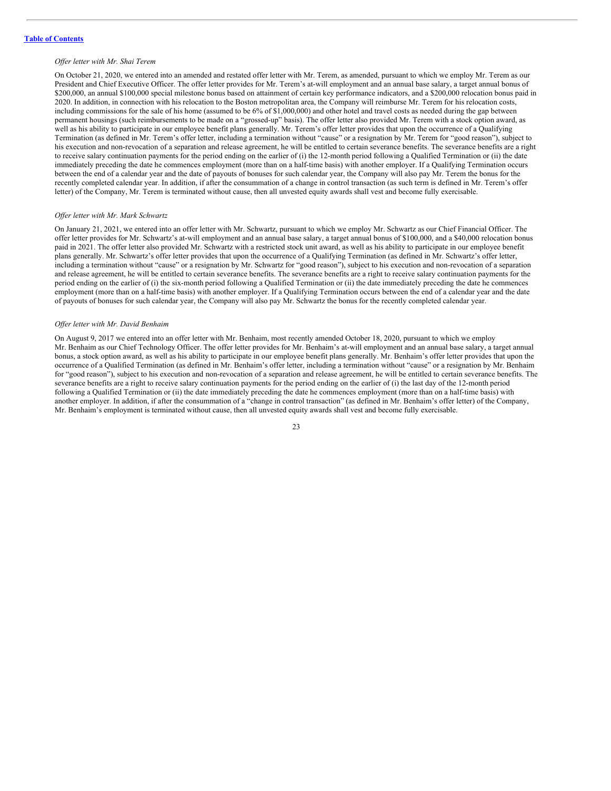#### *Of er letter with Mr. Shai Terem*

On October 21, 2020, we entered into an amended and restated offer letter with Mr. Terem, as amended, pursuant to which we employ Mr. Terem as our President and Chief Executive Officer. The offer letter provides for Mr. Terem's at-will employment and an annual base salary, a target annual bonus of \$200,000, an annual \$100,000 special milestone bonus based on attainment of certain key performance indicators, and a \$200,000 relocation bonus paid in 2020. In addition, in connection with his relocation to the Boston metropolitan area, the Company will reimburse Mr. Terem for his relocation costs, including commissions for the sale of his home (assumed to be 6% of \$1,000,000) and other hotel and travel costs as needed during the gap between permanent housings (such reimbursements to be made on a "grossed-up" basis). The offer letter also provided Mr. Terem with a stock option award, as well as his ability to participate in our employee benefit plans generally. Mr. Terem's offer letter provides that upon the occurrence of a Qualifying Termination (as defined in Mr. Terem's offer letter, including a termination without "cause" or a resignation by Mr. Terem for "good reason"), subject to his execution and non-revocation of a separation and release agreement, he will be entitled to certain severance benefits. The severance benefits are a right to receive salary continuation payments for the period ending on the earlier of (i) the 12-month period following a Qualified Termination or (ii) the date immediately preceding the date he commences employment (more than on a half-time basis) with another employer. If a Qualifying Termination occurs between the end of a calendar year and the date of payouts of bonuses for such calendar year, the Company will also pay Mr. Terem the bonus for the recently completed calendar year. In addition, if after the consummation of a change in control transaction (as such term is defined in Mr. Terem's offer letter) of the Company, Mr. Terem is terminated without cause, then all unvested equity awards shall vest and become fully exercisable.

#### *Of er letter with Mr. Mark Schwartz*

On January 21, 2021, we entered into an offer letter with Mr. Schwartz, pursuant to which we employ Mr. Schwartz as our Chief Financial Officer. The offer letter provides for Mr. Schwartz's at-will employment and an annual base salary, a target annual bonus of \$100,000, and a \$40,000 relocation bonus paid in 2021. The offer letter also provided Mr. Schwartz with a restricted stock unit award, as well as his ability to participate in our employee benefit plans generally. Mr. Schwartz's offer letter provides that upon the occurrence of a Qualifying Termination (as defined in Mr. Schwartz's offer letter, including a termination without "cause" or a resignation by Mr. Schwartz for "good reason"), subject to his execution and non-revocation of a separation and release agreement, he will be entitled to certain severance benefits. The severance benefits are a right to receive salary continuation payments for the period ending on the earlier of (i) the six-month period following a Qualified Termination or (ii) the date immediately preceding the date he commences employment (more than on a half-time basis) with another employer. If a Qualifying Termination occurs between the end of a calendar year and the date of payouts of bonuses for such calendar year, the Company will also pay Mr. Schwartz the bonus for the recently completed calendar year.

# *Of er letter with Mr. David Benhaim*

On August 9, 2017 we entered into an offer letter with Mr. Benhaim, most recently amended October 18, 2020, pursuant to which we employ Mr. Benhaim as our Chief Technology Officer. The offer letter provides for Mr. Benhaim's at-will employment and an annual base salary, a target annual bonus, a stock option award, as well as his ability to participate in our employee benefit plans generally. Mr. Benhaim's offer letter provides that upon the occurrence of a Qualified Termination (as defined in Mr. Benhaim's offer letter, including a termination without "cause" or a resignation by Mr. Benhaim for "good reason"), subject to his execution and non-revocation of a separation and release agreement, he will be entitled to certain severance benefits. The severance benefits are a right to receive salary continuation payments for the period ending on the earlier of (i) the last day of the 12-month period following a Qualified Termination or (ii) the date immediately preceding the date he commences employment (more than on a half-time basis) with another employer. In addition, if after the consummation of a "change in control transaction" (as defined in Mr. Benhaim's offer letter) of the Company, Mr. Benhaim's employment is terminated without cause, then all unvested equity awards shall vest and become fully exercisable.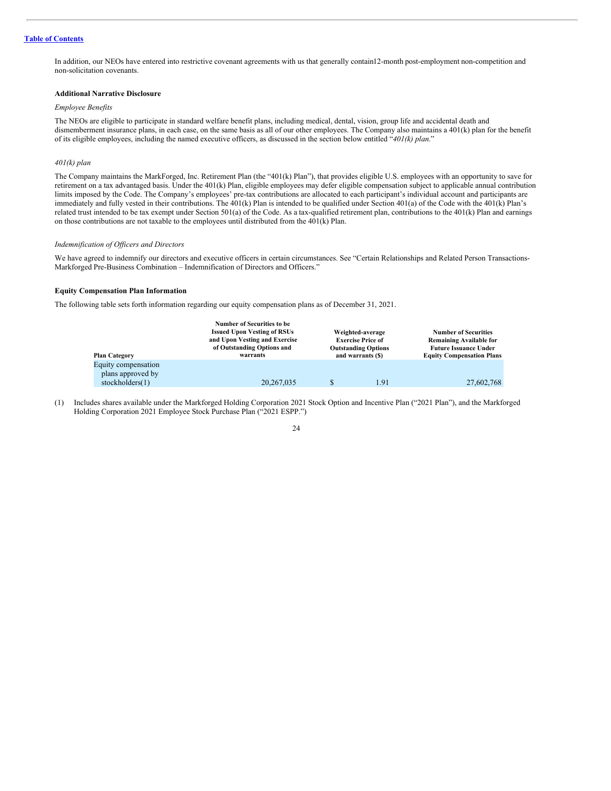# **Table of [Contents](#page-4-0)**

In addition, our NEOs have entered into restrictive covenant agreements with us that generally contain12-month post-employment non-competition and non-solicitation covenants.

# **Additional Narrative Disclosure**

#### *Employee Benefits*

The NEOs are eligible to participate in standard welfare benefit plans, including medical, dental, vision, group life and accidental death and dismemberment insurance plans, in each case, on the same basis as all of our other employees. The Company also maintains a 401(k) plan for the benefit of its eligible employees, including the named executive officers, as discussed in the section below entitled "*401(k) plan*."

#### *401(k) plan*

The Company maintains the MarkForged, Inc. Retirement Plan (the "401(k) Plan"), that provides eligible U.S. employees with an opportunity to save for retirement on a tax advantaged basis. Under the 401(k) Plan, eligible employees may defer eligible compensation subject to applicable annual contribution limits imposed by the Code. The Company's employees' pre-tax contributions are allocated to each participant's individual account and participants are immediately and fully vested in their contributions. The  $401(k)$  Plan is intended to be qualified under Section 401(a) of the Code with the  $401(k)$  Plan's related trust intended to be tax exempt under Section 501(a) of the Code. As a tax-qualified retirement plan, contributions to the 401(k) Plan and earnings on those contributions are not taxable to the employees until distributed from the 401(k) Plan.

#### *Indemnification of Of icers and Directors*

We have agreed to indemnify our directors and executive officers in certain circumstances. See "Certain Relationships and Related Person Transactions-Markforged Pre-Business Combination – Indemnification of Directors and Officers."

#### **Equity Compensation Plan Information**

The following table sets forth information regarding our equity compensation plans as of December 31, 2021.

| <b>Plan Category</b> | <b>Number of Securities to be</b><br><b>Issued Upon Vesting of RSUs</b><br>and Upon Vesting and Exercise<br>of Outstanding Options and<br>warrants | Weighted-average<br><b>Exercise Price of</b><br><b>Outstanding Options</b><br>and warrants (\$) | <b>Number of Securities</b><br>Remaining Available for<br><b>Future Issuance Under</b><br><b>Equity Compensation Plans</b> |
|----------------------|----------------------------------------------------------------------------------------------------------------------------------------------------|-------------------------------------------------------------------------------------------------|----------------------------------------------------------------------------------------------------------------------------|
| Equity compensation  |                                                                                                                                                    |                                                                                                 |                                                                                                                            |
| plans approved by    |                                                                                                                                                    |                                                                                                 |                                                                                                                            |
| stockholders $(1)$   | 20, 267, 035                                                                                                                                       | 1.91                                                                                            | 27,602,768                                                                                                                 |

(1) Includes shares available under the Markforged Holding Corporation 2021 Stock Option and Incentive Plan ("2021 Plan"), and the Markforged Holding Corporation 2021 Employee Stock Purchase Plan ("2021 ESPP.")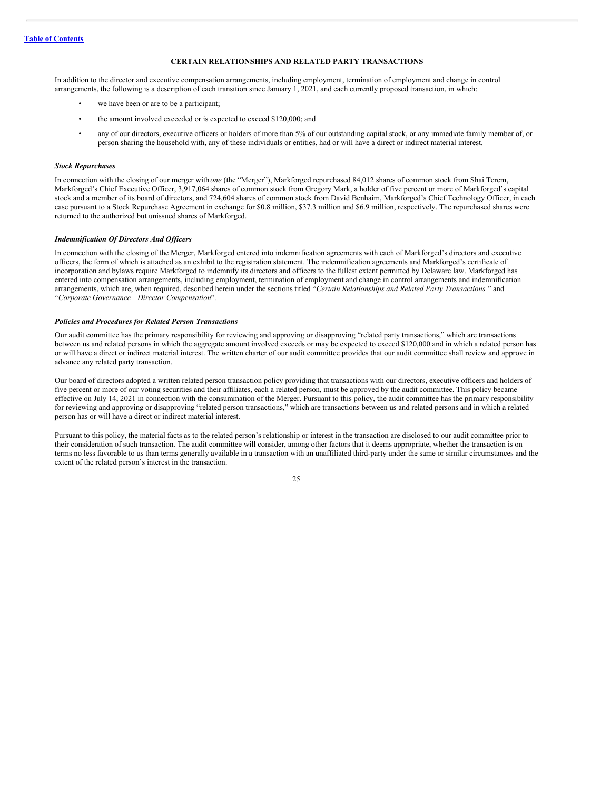# <span id="page-29-0"></span>**CERTAIN RELATIONSHIPS AND RELATED PARTY TRANSACTIONS**

In addition to the director and executive compensation arrangements, including employment, termination of employment and change in control arrangements, the following is a description of each transition since January 1, 2021, and each currently proposed transaction, in which:

- we have been or are to be a participant;
- the amount involved exceeded or is expected to exceed \$120,000; and
- any of our directors, executive officers or holders of more than 5% of our outstanding capital stock, or any immediate family member of, or person sharing the household with, any of these individuals or entities, had or will have a direct or indirect material interest.

#### *Stock Repurchases*

In connection with the closing of our merger with *one* (the "Merger"), Markforged repurchased 84,012 shares of common stock from Shai Terem, Markforged's Chief Executive Officer, 3,917,064 shares of common stock from Gregory Mark, a holder of five percent or more of Markforged's capital stock and a member of its board of directors, and 724,604 shares of common stock from David Benhaim, Markforged's Chief Technology Officer, in each case pursuant to a Stock Repurchase Agreement in exchange for \$0.8 million, \$37.3 million and \$6.9 million, respectively. The repurchased shares were returned to the authorized but unissued shares of Markforged.

#### *Indemnification Of Directors And Of icers*

In connection with the closing of the Merger, Markforged entered into indemnification agreements with each of Markforged's directors and executive officers, the form of which is attached as an exhibit to the registration statement. The indemnification agreements and Markforged's certificate of incorporation and bylaws require Markforged to indemnify its directors and officers to the fullest extent permitted by Delaware law. Markforged has entered into compensation arrangements, including employment, termination of employment and change in control arrangements and indemnification arrangements, which are, when required, described herein under the sections titled "*Certain Relationships and Related Party Transactions* " and "*Corporate Governance—Director Compensation*".

#### *Policies and Procedures for Related Person Transactions*

Our audit committee has the primary responsibility for reviewing and approving or disapproving "related party transactions," which are transactions between us and related persons in which the aggregate amount involved exceeds or may be expected to exceed \$120,000 and in which a related person has or will have a direct or indirect material interest. The written charter of our audit committee provides that our audit committee shall review and approve in advance any related party transaction.

Our board of directors adopted a written related person transaction policy providing that transactions with our directors, executive officers and holders of five percent or more of our voting securities and their affiliates, each a related person, must be approved by the audit committee. This policy became effective on July 14, 2021 in connection with the consummation of the Merger. Pursuant to this policy, the audit committee has the primary responsibility for reviewing and approving or disapproving "related person transactions," which are transactions between us and related persons and in which a related person has or will have a direct or indirect material interest.

Pursuant to this policy, the material facts as to the related person's relationship or interest in the transaction are disclosed to our audit committee prior to their consideration of such transaction. The audit committee will consider, among other factors that it deems appropriate, whether the transaction is on terms no less favorable to us than terms generally available in a transaction with an unaffiliated third-party under the same or similar circumstances and the extent of the related person's interest in the transaction.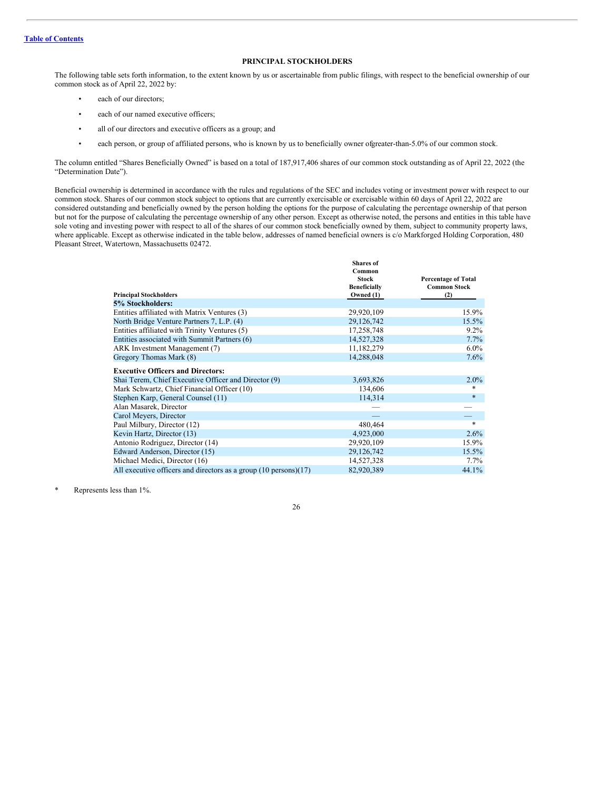# <span id="page-30-0"></span>**PRINCIPAL STOCKHOLDERS**

The following table sets forth information, to the extent known by us or ascertainable from public filings, with respect to the beneficial ownership of our common stock as of April 22, 2022 by:

- each of our directors;
- each of our named executive officers;
- all of our directors and executive officers as a group; and
- each person, or group of affiliated persons, who is known by us to beneficially owner ofgreater-than-5.0% of our common stock.

The column entitled "Shares Beneficially Owned" is based on a total of 187,917,406 shares of our common stock outstanding as of April 22, 2022 (the "Determination Date").

Beneficial ownership is determined in accordance with the rules and regulations of the SEC and includes voting or investment power with respect to our common stock. Shares of our common stock subject to options that are currently exercisable or exercisable within 60 days of April 22, 2022 are considered outstanding and beneficially owned by the person holding the options for the purpose of calculating the percentage ownership of that person but not for the purpose of calculating the percentage ownership of any other person. Except as otherwise noted, the persons and entities in this table have sole voting and investing power with respect to all of the shares of our common stock beneficially owned by them, subject to community property laws, where applicable. Except as otherwise indicated in the table below, addresses of named beneficial owners is c/o Markforged Holding Corporation, 480 Pleasant Street, Watertown, Massachusetts 02472.

| <b>Shares</b> of |                                                            |
|------------------|------------------------------------------------------------|
|                  |                                                            |
|                  | <b>Percentage of Total</b><br><b>Common Stock</b>          |
|                  | (2)                                                        |
|                  |                                                            |
| 29,920,109       | 15.9%                                                      |
| 29,126,742       | 15.5%                                                      |
| 17,258,748       | $9.2\%$                                                    |
| 14,527,328       | 7.7%                                                       |
| 11,182,279       | $6.0\%$                                                    |
| 14,288,048       | 7.6%                                                       |
|                  |                                                            |
| 3,693,826        | $2.0\%$                                                    |
| 134,606          | *                                                          |
| 114,314          | $\ast$                                                     |
|                  |                                                            |
|                  |                                                            |
| 480,464          | *                                                          |
| 4,923,000        | 2.6%                                                       |
| 29,920,109       | 15.9%                                                      |
| 29,126,742       | 15.5%                                                      |
| 14,527,328       | $7.7\%$                                                    |
| 82,920,389       | 44.1%                                                      |
|                  | Common<br><b>Stock</b><br><b>Beneficially</b><br>Owned (1) |

Represents less than 1%.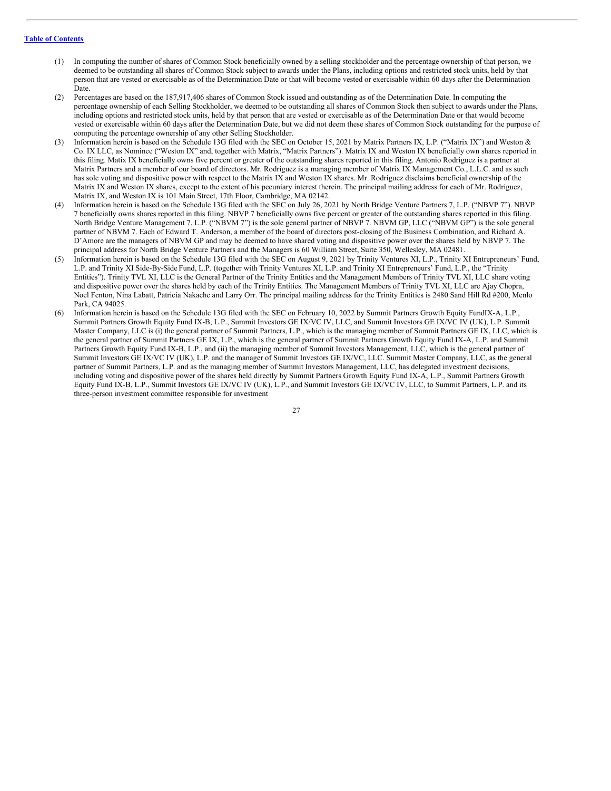- (1) In computing the number of shares of Common Stock beneficially owned by a selling stockholder and the percentage ownership of that person, we deemed to be outstanding all shares of Common Stock subject to awards under the Plans, including options and restricted stock units, held by that person that are vested or exercisable as of the Determination Date or that will become vested or exercisable within 60 days after the Determination Date.
- (2) Percentages are based on the 187,917,406 shares of Common Stock issued and outstanding as of the Determination Date. In computing the percentage ownership of each Selling Stockholder, we deemed to be outstanding all shares of Common Stock then subject to awards under the Plans, including options and restricted stock units, held by that person that are vested or exercisable as of the Determination Date or that would become vested or exercisable within 60 days after the Determination Date, but we did not deem these shares of Common Stock outstanding for the purpose of computing the percentage ownership of any other Selling Stockholder.
- (3) Information herein is based on the Schedule 13G filed with the SEC on October 15, 2021 by Matrix Partners IX, L.P. ("Matrix IX") and Weston & Co. IX LLC, as Nominee ("Weston IX" and, together with Matrix, "Matrix Partners"). Matrix IX and Weston IX beneficially own shares reported in this filing. Matix IX beneficially owns five percent or greater of the outstanding shares reported in this filing. Antonio Rodriguez is a partner at Matrix Partners and a member of our board of directors. Mr. Rodriguez is a managing member of Matrix IX Management Co., L.L.C. and as such has sole voting and dispositive power with respect to the Matrix IX and Weston IX shares. Mr. Rodriguez disclaims beneficial ownership of the Matrix IX and Weston IX shares, except to the extent of his pecuniary interest therein. The principal mailing address for each of Mr. Rodriguez, Matrix IX, and Weston IX is 101 Main Street, 17th Floor, Cambridge, MA 02142.
- (4) Information herein is based on the Schedule 13G filed with the SEC on July 26, 2021 by North Bridge Venture Partners 7, L.P. ("NBVP 7"). NBVP 7 beneficially owns shares reported in this filing. NBVP 7 beneficially owns five percent or greater of the outstanding shares reported in this filing. North Bridge Venture Management 7, L.P. ("NBVM 7") is the sole general partner of NBVP 7. NBVM GP, LLC ("NBVM GP") is the sole general partner of NBVM 7. Each of Edward T. Anderson, a member of the board of directors post-closing of the Business Combination, and Richard A. D'Amore are the managers of NBVM GP and may be deemed to have shared voting and dispositive power over the shares held by NBVP 7. The principal address for North Bridge Venture Partners and the Managers is 60 William Street, Suite 350, Wellesley, MA 02481.
- Information herein is based on the Schedule 13G filed with the SEC on August 9, 2021 by Trinity Ventures XI, L.P., Trinity XI Entrepreneurs' Fund, L.P. and Trinity XI Side-By-Side Fund, L.P. (together with Trinity Ventures XI, L.P. and Trinity XI Entrepreneurs' Fund, L.P., the "Trinity Entities"). Trinity TVL XI, LLC is the General Partner of the Trinity Entities and the Management Members of Trinity TVL XI, LLC share voting and dispositive power over the shares held by each of the Trinity Entities. The Management Members of Trinity TVL XI, LLC are Ajay Chopra, Noel Fenton, Nina Labatt, Patricia Nakache and Larry Orr. The principal mailing address for the Trinity Entities is 2480 Sand Hill Rd #200, Menlo Park, CA 94025.
- (6) Information herein is based on the Schedule 13G filed with the SEC on February 10, 2022 by Summit Partners Growth Equity FundIX-A, L.P., Summit Partners Growth Equity Fund IX-B, L.P., Summit Investors GE IX/VC IV, LLC, and Summit Investors GE IX/VC IV (UK), L.P. Summit Master Company, LLC is (i) the general partner of Summit Partners, L.P., which is the managing member of Summit Partners GE IX, LLC, which is the general partner of Summit Partners GE IX, L.P., which is the general partner of Summit Partners Growth Equity Fund IX-A, L.P. and Summit Partners Growth Equity Fund IX-B, L.P., and (ii) the managing member of Summit Investors Management, LLC, which is the general partner of Summit Investors GE IX/VC IV (UK), L.P. and the manager of Summit Investors GE IX/VC, LLC. Summit Master Company, LLC, as the general partner of Summit Partners, L.P. and as the managing member of Summit Investors Management, LLC, has delegated investment decisions, including voting and dispositive power of the shares held directly by Summit Partners Growth Equity Fund IX-A, L.P., Summit Partners Growth Equity Fund IX-B, L.P., Summit Investors GE IX/VC IV (UK), L.P., and Summit Investors GE IX/VC IV, LLC, to Summit Partners, L.P. and its three-person investment committee responsible for investment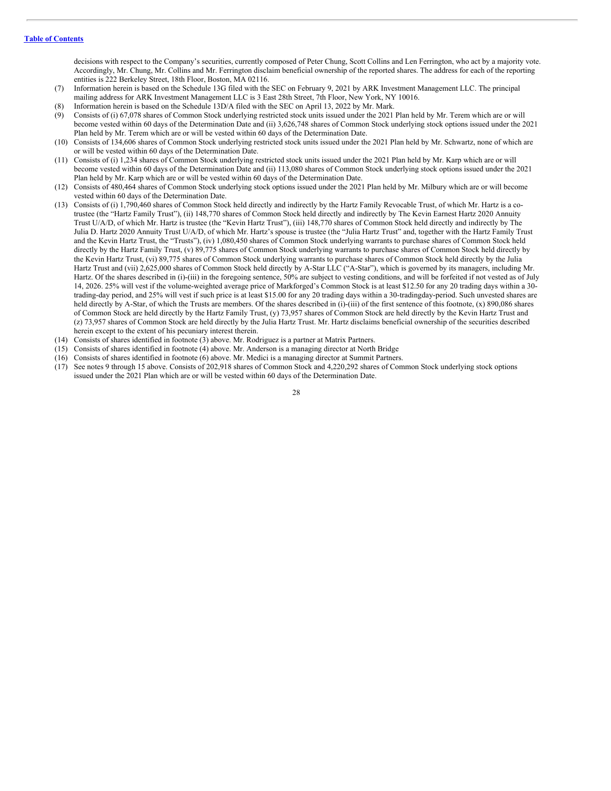decisions with respect to the Company's securities, currently composed of Peter Chung, Scott Collins and Len Ferrington, who act by a majority vote. Accordingly, Mr. Chung, Mr. Collins and Mr. Ferrington disclaim beneficial ownership of the reported shares. The address for each of the reporting entities is 222 Berkeley Street, 18th Floor, Boston, MA 02116.

- (7) Information herein is based on the Schedule 13G filed with the SEC on February 9, 2021 by ARK Investment Management LLC. The principal mailing address for ARK Investment Management LLC is 3 East 28th Street, 7th Floor, New York, NY 10016.
- (8) Information herein is based on the Schedule 13D/A filed with the SEC on April 13, 2022 by Mr. Mark.
- (9) Consists of (i) 67,078 shares of Common Stock underlying restricted stock units issued under the 2021 Plan held by Mr. Terem which are or will become vested within 60 days of the Determination Date and (ii) 3,626,748 shares of Common Stock underlying stock options issued under the 2021 Plan held by Mr. Terem which are or will be vested within 60 days of the Determination Date.
- (10) Consists of 134,606 shares of Common Stock underlying restricted stock units issued under the 2021 Plan held by Mr. Schwartz, none of which are or will be vested within 60 days of the Determination Date.
- (11) Consists of (i) 1,234 shares of Common Stock underlying restricted stock units issued under the 2021 Plan held by Mr. Karp which are or will become vested within 60 days of the Determination Date and (ii) 113,080 shares of Common Stock underlying stock options issued under the 2021 Plan held by Mr. Karp which are or will be vested within 60 days of the Determination Date.
- (12) Consists of 480,464 shares of Common Stock underlying stock options issued under the 2021 Plan held by Mr. Milbury which are or will become vested within 60 days of the Determination Date.
- (13) Consists of (i) 1,790,460 shares of Common Stock held directly and indirectly by the Hartz Family Revocable Trust, of which Mr. Hartz is a cotrustee (the "Hartz Family Trust"), (ii) 148,770 shares of Common Stock held directly and indirectly by The Kevin Earnest Hartz 2020 Annuity Trust U/A/D, of which Mr. Hartz is trustee (the "Kevin Hartz Trust"), (iii) 148,770 shares of Common Stock held directly and indirectly by The Julia D. Hartz 2020 Annuity Trust U/A/D, of which Mr. Hartz's spouse is trustee (the "Julia Hartz Trust" and, together with the Hartz Family Trust and the Kevin Hartz Trust, the "Trusts"), (iv) 1,080,450 shares of Common Stock underlying warrants to purchase shares of Common Stock held directly by the Hartz Family Trust, (v) 89,775 shares of Common Stock underlying warrants to purchase shares of Common Stock held directly by the Kevin Hartz Trust, (vi) 89,775 shares of Common Stock underlying warrants to purchase shares of Common Stock held directly by the Julia Hartz Trust and (vii) 2,625,000 shares of Common Stock held directly by A-Star LLC ("A-Star"), which is governed by its managers, including Mr. Hartz. Of the shares described in (i)-(iii) in the foregoing sentence, 50% are subject to vesting conditions, and will be forfeited if not vested as of July 14, 2026. 25% will vest if the volume-weighted average price of Markforged's Common Stock is at least \$12.50 for any 20 trading days within a 30 trading-day period, and 25% will vest if such price is at least \$15.00 for any 20 trading days within a 30-tradingday-period. Such unvested shares are held directly by A-Star, of which the Trusts are members. Of the shares described in (i)-(iii) of the first sentence of this footnote, (x) 890,086 shares of Common Stock are held directly by the Hartz Family Trust, (y) 73,957 shares of Common Stock are held directly by the Kevin Hartz Trust and (z) 73,957 shares of Common Stock are held directly by the Julia Hartz Trust. Mr. Hartz disclaims beneficial ownership of the securities described herein except to the extent of his pecuniary interest therein.
- (14) Consists of shares identified in footnote (3) above. Mr. Rodriguez is a partner at Matrix Partners.
- (15) Consists of shares identified in footnote (4) above. Mr. Anderson is a managing director at North Bridge
- (16) Consists of shares identified in footnote (6) above. Mr. Medici is a managing director at Summit Partners.
- (17) See notes 9 through 15 above. Consists of 202,918 shares of Common Stock and 4,220,292 shares of Common Stock underlying stock options issued under the 2021 Plan which are or will be vested within 60 days of the Determination Date.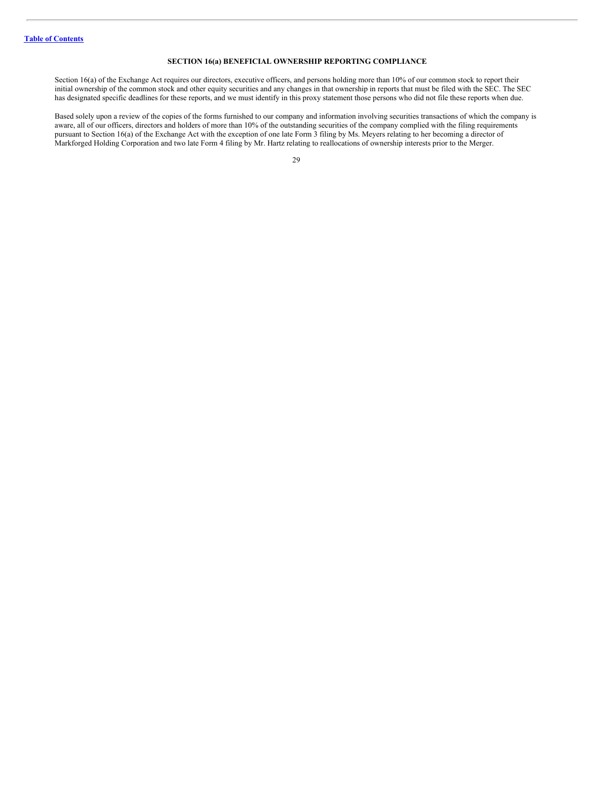# <span id="page-33-0"></span>**SECTION 16(a) BENEFICIAL OWNERSHIP REPORTING COMPLIANCE**

Section 16(a) of the Exchange Act requires our directors, executive officers, and persons holding more than 10% of our common stock to report their initial ownership of the common stock and other equity securities and any changes in that ownership in reports that must be filed with the SEC. The SEC has designated specific deadlines for these reports, and we must identify in this proxy statement those persons who did not file these reports when due.

Based solely upon a review of the copies of the forms furnished to our company and information involving securities transactions of which the company is aware, all of our officers, directors and holders of more than 10% of the outstanding securities of the company complied with the filing requirements pursuant to Section 16(a) of the Exchange Act with the exception of one late Form 3 filing by Ms. Meyers relating to her becoming a director of Markforged Holding Corporation and two late Form 4 filing by Mr. Hartz relating to reallocations of ownership interests prior to the Merger.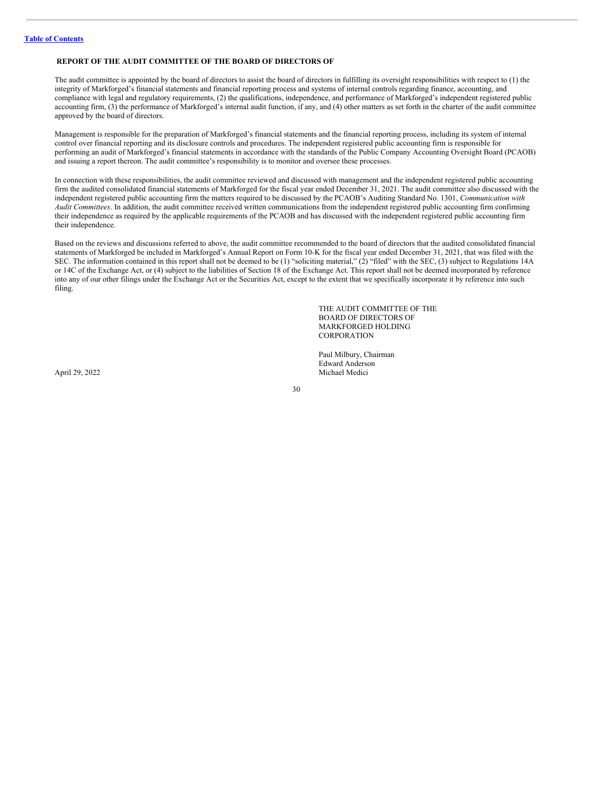# <span id="page-34-0"></span>**REPORT OF THE AUDIT COMMITTEE OF THE BOARD OF DIRECTORS OF**

The audit committee is appointed by the board of directors to assist the board of directors in fulfilling its oversight responsibilities with respect to (1) the integrity of Markforged's financial statements and financial reporting process and systems of internal controls regarding finance, accounting, and compliance with legal and regulatory requirements, (2) the qualifications, independence, and performance of Markforged's independent registered public accounting firm, (3) the performance of Markforged's internal audit function, if any, and (4) other matters as set forth in the charter of the audit committee approved by the board of directors.

Management is responsible for the preparation of Markforged's financial statements and the financial reporting process, including its system of internal control over financial reporting and its disclosure controls and procedures. The independent registered public accounting firm is responsible for performing an audit of Markforged's financial statements in accordance with the standards of the Public Company Accounting Oversight Board (PCAOB) and issuing a report thereon. The audit committee's responsibility is to monitor and oversee these processes.

In connection with these responsibilities, the audit committee reviewed and discussed with management and the independent registered public accounting firm the audited consolidated financial statements of Markforged for the fiscal year ended December 31, 2021. The audit committee also discussed with the independent registered public accounting firm the matters required to be discussed by the PCAOB's Auditing Standard No. 1301, *Communication with Audit Committees*. In addition, the audit committee received written communications from the independent registered public accounting firm confirming their independence as required by the applicable requirements of the PCAOB and has discussed with the independent registered public accounting firm their independence.

Based on the reviews and discussions referred to above, the audit committee recommended to the board of directors that the audited consolidated financial statements of Markforged be included in Markforged's Annual Report on Form 10-K for the fiscal year ended December 31, 2021, that was filed with the SEC. The information contained in this report shall not be deemed to be (1) "soliciting material," (2) "filed" with the SEC, (3) subject to Regulations 14A or 14C of the Exchange Act, or (4) subject to the liabilities of Section 18 of the Exchange Act. This report shall not be deemed incorporated by reference into any of our other filings under the Exchange Act or the Securities Act, except to the extent that we specifically incorporate it by reference into such filing.

> THE AUDIT COMMITTEE OF THE BOARD OF DIRECTORS OF MARKFORGED HOLDING **CORPORATION**

Paul Milbury, Chairman Edward Anderson April 29, 2022 Michael Medici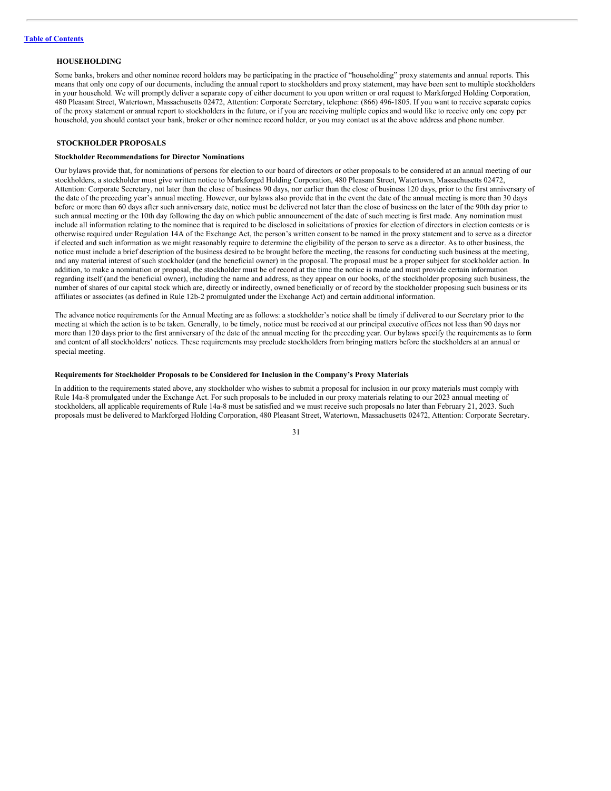#### <span id="page-35-0"></span>**HOUSEHOLDING**

Some banks, brokers and other nominee record holders may be participating in the practice of "householding" proxy statements and annual reports. This means that only one copy of our documents, including the annual report to stockholders and proxy statement, may have been sent to multiple stockholders in your household. We will promptly deliver a separate copy of either document to you upon written or oral request to Markforged Holding Corporation, 480 Pleasant Street, Watertown, Massachusetts 02472, Attention: Corporate Secretary, telephone: (866) 496-1805. If you want to receive separate copies of the proxy statement or annual report to stockholders in the future, or if you are receiving multiple copies and would like to receive only one copy per household, you should contact your bank, broker or other nominee record holder, or you may contact us at the above address and phone number.

# <span id="page-35-1"></span>**STOCKHOLDER PROPOSALS**

#### **Stockholder Recommendations for Director Nominations**

Our bylaws provide that, for nominations of persons for election to our board of directors or other proposals to be considered at an annual meeting of our stockholders, a stockholder must give written notice to Markforged Holding Corporation, 480 Pleasant Street, Watertown, Massachusetts 02472, Attention: Corporate Secretary, not later than the close of business 90 days, nor earlier than the close of business 120 days, prior to the first anniversary of the date of the preceding year's annual meeting. However, our bylaws also provide that in the event the date of the annual meeting is more than 30 days before or more than 60 days after such anniversary date, notice must be delivered not later than the close of business on the later of the 90th day prior to such annual meeting or the 10th day following the day on which public announcement of the date of such meeting is first made. Any nomination must include all information relating to the nominee that is required to be disclosed in solicitations of proxies for election of directors in election contests or is otherwise required under Regulation 14A of the Exchange Act, the person's written consent to be named in the proxy statement and to serve as a director if elected and such information as we might reasonably require to determine the eligibility of the person to serve as a director. As to other business, the notice must include a brief description of the business desired to be brought before the meeting, the reasons for conducting such business at the meeting, and any material interest of such stockholder (and the beneficial owner) in the proposal. The proposal must be a proper subject for stockholder action. In addition, to make a nomination or proposal, the stockholder must be of record at the time the notice is made and must provide certain information regarding itself (and the beneficial owner), including the name and address, as they appear on our books, of the stockholder proposing such business, the number of shares of our capital stock which are, directly or indirectly, owned beneficially or of record by the stockholder proposing such business or its affiliates or associates (as defined in Rule 12b-2 promulgated under the Exchange Act) and certain additional information.

The advance notice requirements for the Annual Meeting are as follows: a stockholder's notice shall be timely if delivered to our Secretary prior to the meeting at which the action is to be taken. Generally, to be timely, notice must be received at our principal executive offices not less than 90 days nor more than 120 days prior to the first anniversary of the date of the annual meeting for the preceding year. Our bylaws specify the requirements as to form and content of all stockholders' notices. These requirements may preclude stockholders from bringing matters before the stockholders at an annual or special meeting.

#### **Requirements for Stockholder Proposals to be Considered for Inclusion in the Company's Proxy Materials**

In addition to the requirements stated above, any stockholder who wishes to submit a proposal for inclusion in our proxy materials must comply with Rule 14a-8 promulgated under the Exchange Act. For such proposals to be included in our proxy materials relating to our 2023 annual meeting of stockholders, all applicable requirements of Rule 14a-8 must be satisfied and we must receive such proposals no later than February 21, 2023. Such proposals must be delivered to Markforged Holding Corporation, 480 Pleasant Street, Watertown, Massachusetts 02472, Attention: Corporate Secretary.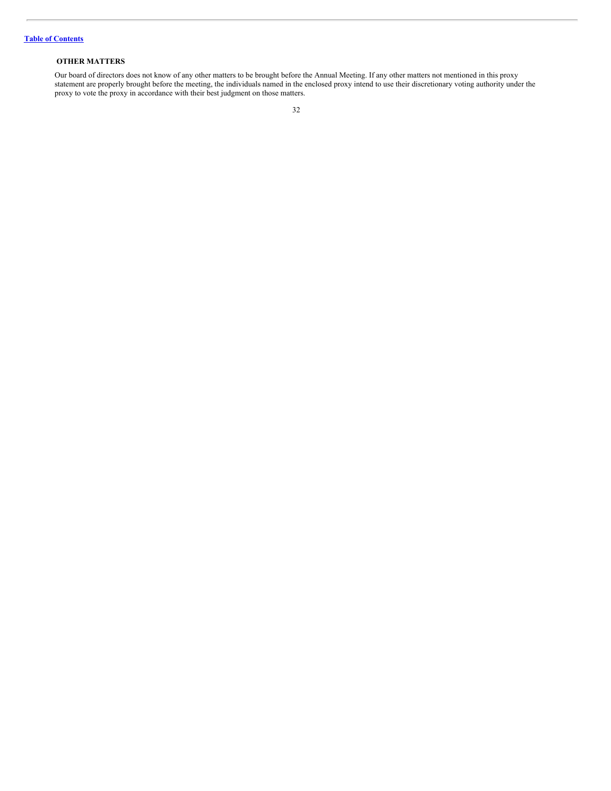# <span id="page-36-0"></span>**OTHER MATTERS**

Our board of directors does not know of any other matters to be brought before the Annual Meeting. If any other matters not mentioned in this proxy statement are properly brought before the meeting, the individuals named in the enclosed proxy intend to use their discretionary voting authority under the proxy to vote the proxy in accordance with their best judgment on those matters.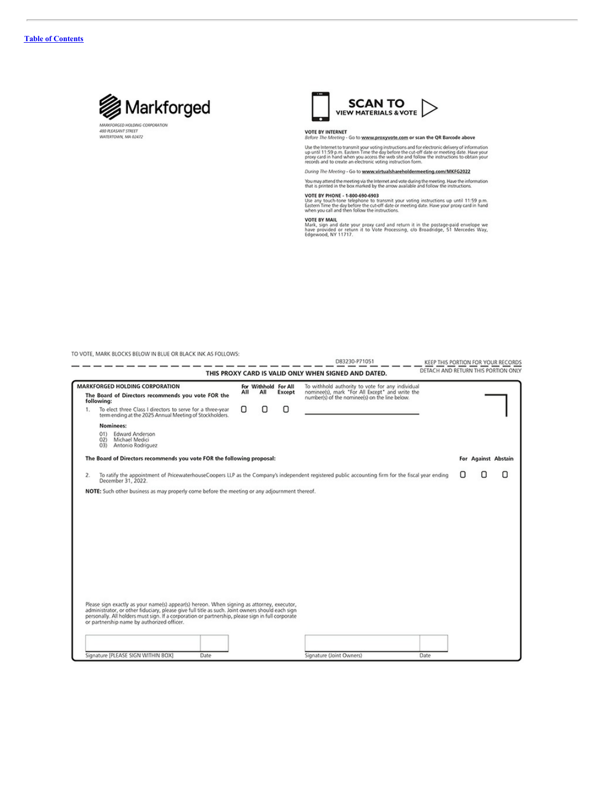

480 REASANT STREET<br>WATERTOWN, MA 02472



# VOTE BY INTERNET<br>Before The Meeting - Go to www.proxyvote.com or scan the QR Barcode above

Use the Internet to transmit your voting instructions and for electronic delivery of information up until 11:59 p.m. Eastern Time the day below is the current proportion of the proportion of the proportion of the proportio

During The Meeting - Go to www.virtualshareholdermeeting.com/MKFG2022

You may attend the meeting via the Internet and vote during the meeting. Have the information<br>that is printed in the box marked by the arrow available and follow the instructions.

VOTE BY PHONE - 1-800-690-6903<br>Use any touch-tone telephone to transmit your voting instructions up until 11:59 p.m.<br>Eastern Time the day before the cut-off date or meeting date. Have your proxy card in hand<br>when you call

VOTE BY MAIL<br>Mark, sign and date your proxy card and return it in the postage-paid envelope we<br>have provided or return it to Vote Processing, c/o Broadridge, 51 Mercedes Way,<br>Edgewood, NY 11717.

TO VOTE, MARK BLOCKS BELOW IN BLUE OR BLACK INK AS FOLLOWS:

| DETACH AND RETURN THIS PORTION ONLY<br>THIS PROXY CARD IS VALID ONLY WHEN SIGNED AND DATED.<br><b>MARKFORGED HOLDING CORPORATION</b><br>For Withhold For All<br>To withhold authority to vote for any individual<br>nominee(s), mark "For All Except" and write the<br>All<br>All<br>Except<br>The Board of Directors recommends you vote FOR the<br>number(s) of the nominee(s) on the line below.<br>following:<br>О<br>Ο<br>О<br>To elect three Class I directors to serve for a three-year<br>1.<br>term ending at the 2025 Annual Meeting of Stockholders.<br>Nominees:<br><b>Edward Anderson</b><br>O(1)<br>Michael Medici<br>02)<br>Antonio Rodriguez<br>O(3)<br>The Board of Directors recommends you vote FOR the following proposal:<br>For Against Abstain<br>To ratify the appointment of PricewaterhouseCoopers LLP as the Company's independent registered public accounting firm for the fiscal year ending<br>2.<br>December 31, 2022.<br>NOTE: Such other business as may properly come before the meeting or any adjournment thereof.<br>Please sign exactly as your name(s) appear(s) hereon. When signing as attorney, executor,<br>administrator, or other fiduciary, please give full title as such. Joint owners should each sign<br>personally. All holders must sign. If a corporation or partnership, please sign in full corporate<br>or partnership name by authorized officer.<br>Signature [PLEASE SIGN WITHIN BOX]<br>Date<br>Date |  |  | D83230-P71051            | KEEP THIS PORTION FOR YOUR RECORDS |   |
|-------------------------------------------------------------------------------------------------------------------------------------------------------------------------------------------------------------------------------------------------------------------------------------------------------------------------------------------------------------------------------------------------------------------------------------------------------------------------------------------------------------------------------------------------------------------------------------------------------------------------------------------------------------------------------------------------------------------------------------------------------------------------------------------------------------------------------------------------------------------------------------------------------------------------------------------------------------------------------------------------------------------------------------------------------------------------------------------------------------------------------------------------------------------------------------------------------------------------------------------------------------------------------------------------------------------------------------------------------------------------------------------------------------------------------------------------------------------|--|--|--------------------------|------------------------------------|---|
|                                                                                                                                                                                                                                                                                                                                                                                                                                                                                                                                                                                                                                                                                                                                                                                                                                                                                                                                                                                                                                                                                                                                                                                                                                                                                                                                                                                                                                                                   |  |  |                          |                                    |   |
|                                                                                                                                                                                                                                                                                                                                                                                                                                                                                                                                                                                                                                                                                                                                                                                                                                                                                                                                                                                                                                                                                                                                                                                                                                                                                                                                                                                                                                                                   |  |  |                          |                                    |   |
|                                                                                                                                                                                                                                                                                                                                                                                                                                                                                                                                                                                                                                                                                                                                                                                                                                                                                                                                                                                                                                                                                                                                                                                                                                                                                                                                                                                                                                                                   |  |  |                          |                                    |   |
|                                                                                                                                                                                                                                                                                                                                                                                                                                                                                                                                                                                                                                                                                                                                                                                                                                                                                                                                                                                                                                                                                                                                                                                                                                                                                                                                                                                                                                                                   |  |  |                          |                                    |   |
|                                                                                                                                                                                                                                                                                                                                                                                                                                                                                                                                                                                                                                                                                                                                                                                                                                                                                                                                                                                                                                                                                                                                                                                                                                                                                                                                                                                                                                                                   |  |  |                          |                                    |   |
|                                                                                                                                                                                                                                                                                                                                                                                                                                                                                                                                                                                                                                                                                                                                                                                                                                                                                                                                                                                                                                                                                                                                                                                                                                                                                                                                                                                                                                                                   |  |  |                          |                                    |   |
|                                                                                                                                                                                                                                                                                                                                                                                                                                                                                                                                                                                                                                                                                                                                                                                                                                                                                                                                                                                                                                                                                                                                                                                                                                                                                                                                                                                                                                                                   |  |  |                          |                                    |   |
|                                                                                                                                                                                                                                                                                                                                                                                                                                                                                                                                                                                                                                                                                                                                                                                                                                                                                                                                                                                                                                                                                                                                                                                                                                                                                                                                                                                                                                                                   |  |  |                          |                                    | Ω |
|                                                                                                                                                                                                                                                                                                                                                                                                                                                                                                                                                                                                                                                                                                                                                                                                                                                                                                                                                                                                                                                                                                                                                                                                                                                                                                                                                                                                                                                                   |  |  |                          |                                    |   |
|                                                                                                                                                                                                                                                                                                                                                                                                                                                                                                                                                                                                                                                                                                                                                                                                                                                                                                                                                                                                                                                                                                                                                                                                                                                                                                                                                                                                                                                                   |  |  |                          |                                    |   |
|                                                                                                                                                                                                                                                                                                                                                                                                                                                                                                                                                                                                                                                                                                                                                                                                                                                                                                                                                                                                                                                                                                                                                                                                                                                                                                                                                                                                                                                                   |  |  |                          |                                    |   |
|                                                                                                                                                                                                                                                                                                                                                                                                                                                                                                                                                                                                                                                                                                                                                                                                                                                                                                                                                                                                                                                                                                                                                                                                                                                                                                                                                                                                                                                                   |  |  |                          |                                    |   |
|                                                                                                                                                                                                                                                                                                                                                                                                                                                                                                                                                                                                                                                                                                                                                                                                                                                                                                                                                                                                                                                                                                                                                                                                                                                                                                                                                                                                                                                                   |  |  |                          |                                    |   |
|                                                                                                                                                                                                                                                                                                                                                                                                                                                                                                                                                                                                                                                                                                                                                                                                                                                                                                                                                                                                                                                                                                                                                                                                                                                                                                                                                                                                                                                                   |  |  |                          |                                    |   |
|                                                                                                                                                                                                                                                                                                                                                                                                                                                                                                                                                                                                                                                                                                                                                                                                                                                                                                                                                                                                                                                                                                                                                                                                                                                                                                                                                                                                                                                                   |  |  |                          |                                    |   |
|                                                                                                                                                                                                                                                                                                                                                                                                                                                                                                                                                                                                                                                                                                                                                                                                                                                                                                                                                                                                                                                                                                                                                                                                                                                                                                                                                                                                                                                                   |  |  |                          |                                    |   |
|                                                                                                                                                                                                                                                                                                                                                                                                                                                                                                                                                                                                                                                                                                                                                                                                                                                                                                                                                                                                                                                                                                                                                                                                                                                                                                                                                                                                                                                                   |  |  |                          |                                    |   |
|                                                                                                                                                                                                                                                                                                                                                                                                                                                                                                                                                                                                                                                                                                                                                                                                                                                                                                                                                                                                                                                                                                                                                                                                                                                                                                                                                                                                                                                                   |  |  |                          |                                    |   |
|                                                                                                                                                                                                                                                                                                                                                                                                                                                                                                                                                                                                                                                                                                                                                                                                                                                                                                                                                                                                                                                                                                                                                                                                                                                                                                                                                                                                                                                                   |  |  |                          |                                    |   |
|                                                                                                                                                                                                                                                                                                                                                                                                                                                                                                                                                                                                                                                                                                                                                                                                                                                                                                                                                                                                                                                                                                                                                                                                                                                                                                                                                                                                                                                                   |  |  |                          |                                    |   |
|                                                                                                                                                                                                                                                                                                                                                                                                                                                                                                                                                                                                                                                                                                                                                                                                                                                                                                                                                                                                                                                                                                                                                                                                                                                                                                                                                                                                                                                                   |  |  |                          |                                    |   |
|                                                                                                                                                                                                                                                                                                                                                                                                                                                                                                                                                                                                                                                                                                                                                                                                                                                                                                                                                                                                                                                                                                                                                                                                                                                                                                                                                                                                                                                                   |  |  |                          |                                    |   |
|                                                                                                                                                                                                                                                                                                                                                                                                                                                                                                                                                                                                                                                                                                                                                                                                                                                                                                                                                                                                                                                                                                                                                                                                                                                                                                                                                                                                                                                                   |  |  |                          |                                    |   |
|                                                                                                                                                                                                                                                                                                                                                                                                                                                                                                                                                                                                                                                                                                                                                                                                                                                                                                                                                                                                                                                                                                                                                                                                                                                                                                                                                                                                                                                                   |  |  | Signature (Joint Owners) |                                    |   |